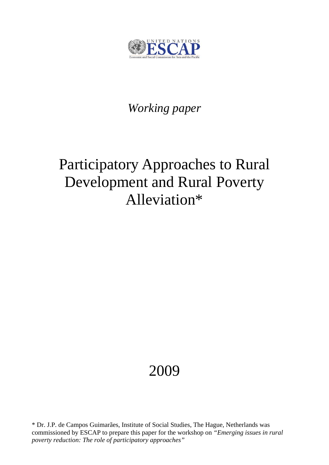

## *Working paper*

# Participatory Approaches to Rural Development and Rural Poverty Alleviation\*

## 2009

\* Dr. J.P. de Campos Guimarães, Institute of Social Studies, The Hague, Netherlands was commissioned by ESCAP to prepare this paper for the workshop on *"Emerging issues in rural poverty reduction: The role of participatory approaches"*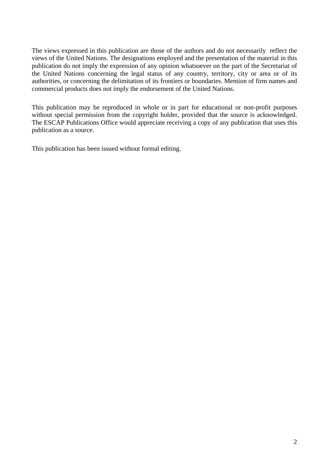The views expressed in this publication are those of the authors and do not necessarily reflect the views of the United Nations. The designations employed and the presentation of the material in this publication do not imply the expression of any opinion whatsoever on the part of the Secretariat of the United Nations concerning the legal status of any country, territory, city or area or of its authorities, or concerning the delimitation of its frontiers or boundaries. Mention of firm names and commercial products does not imply the endorsement of the United Nations.

This publication may be reproduced in whole or in part for educational or non-profit purposes without special permission from the copyright holder, provided that the source is acknowledged. The ESCAP Publications Office would appreciate receiving a copy of any publication that uses this publication as a source.

This publication has been issued without formal editing.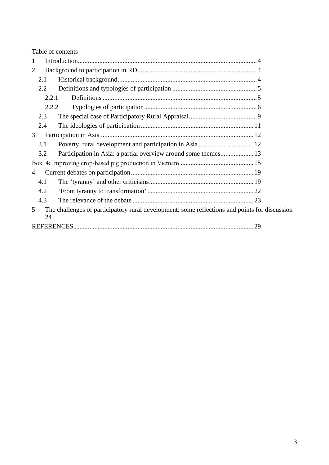Table of contents

| 1 |       |                                                                                               |  |  |  |
|---|-------|-----------------------------------------------------------------------------------------------|--|--|--|
| 2 |       |                                                                                               |  |  |  |
|   | 2.1   |                                                                                               |  |  |  |
|   | 2.2   |                                                                                               |  |  |  |
|   | 2.2.1 |                                                                                               |  |  |  |
|   | 2.2.2 |                                                                                               |  |  |  |
|   | 2.3   |                                                                                               |  |  |  |
|   | 2.4   |                                                                                               |  |  |  |
| 3 |       |                                                                                               |  |  |  |
|   | 3.1   | Poverty, rural development and participation in Asia  12                                      |  |  |  |
|   | 3.2   | Participation in Asia: a partial overview around some themes 13                               |  |  |  |
|   |       |                                                                                               |  |  |  |
| 4 |       |                                                                                               |  |  |  |
|   | 4.1   |                                                                                               |  |  |  |
|   | 4.2   |                                                                                               |  |  |  |
|   | 4.3   |                                                                                               |  |  |  |
| 5 | 24    | The challenges of participatory rural development: some reflections and points for discussion |  |  |  |
|   | 29    |                                                                                               |  |  |  |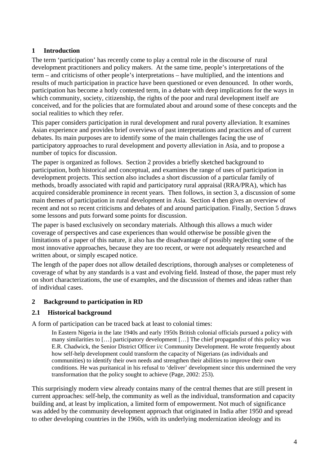## **1 Introduction**

The term 'participation' has recently come to play a central role in the discourse of rural development practitioners and policy makers. At the same time, people's interpretations of the term – and criticisms of other people's interpretations – have multiplied, and the intentions and results of much participation in practice have been questioned or even denounced. In other words, participation has become a hotly contested term, in a debate with deep implications for the ways in which community, society, citizenship, the rights of the poor and rural development itself are conceived, and for the policies that are formulated about and around some of these concepts and the social realities to which they refer.

This paper considers participation in rural development and rural poverty alleviation. It examines Asian experience and provides brief overviews of past interpretations and practices and of current debates. Its main purposes are to identify some of the main challenges facing the use of participatory approaches to rural development and poverty alleviation in Asia, and to propose a number of topics for discussion.

The paper is organized as follows. Section 2 provides a briefly sketched background to participation, both historical and conceptual, and examines the range of uses of participation in development projects. This section also includes a short discussion of a particular family of methods, broadly associated with rapid and participatory rural appraisal (RRA/PRA), which has acquired considerable prominence in recent years. Then follows, in section 3, a discussion of some main themes of participation in rural development in Asia. Section 4 then gives an overview of recent and not so recent criticisms and debates of and around participation. Finally, Section 5 draws some lessons and puts forward some points for discussion.

The paper is based exclusively on secondary materials. Although this allows a much wider coverage of perspectives and case experiences than would otherwise be possible given the limitations of a paper of this nature, it also has the disadvantage of possibly neglecting some of the most innovative approaches, because they are too recent, or were not adequately researched and written about, or simply escaped notice.

The length of the paper does not allow detailed descriptions, thorough analyses or completeness of coverage of what by any standards is a vast and evolving field. Instead of those, the paper must rely on short characterizations, the use of examples, and the discussion of themes and ideas rather than of individual cases.

## **2 Background to participation in RD**

## **2.1 Historical background**

A form of participation can be traced back at least to colonial times:

In Eastern Nigeria in the late 1940s and early 1950s British colonial officials pursued a policy with many similarities to […] participatory development […] The chief propagandist of this policy was E.R. Chadwick, the Senior District Officer i/c Community Development. He wrote frequently about how self-help development could transform the capacity of Nigerians (as individuals and communities) to identify their own needs and strengthen their abilities to improve their own conditions. He was puritanical in his refusal to 'deliver' development since this undermined the very transformation that the policy sought to achieve (Page, 2002: 253).

This surprisingly modern view already contains many of the central themes that are still present in current approaches: self-help, the community as well as the individual, transformation and capacity building and, at least by implication, a limited form of empowerment. Not much of significance was added by the community development approach that originated in India after 1950 and spread to other developing countries in the 1960s, with its underlying modernization ideology and its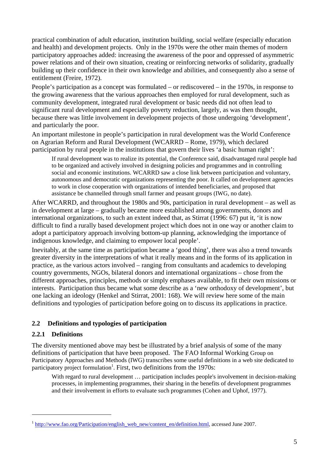practical combination of adult education, institution building, social welfare (especially education and health) and development projects. Only in the 1970s were the other main themes of modern participatory approaches added: increasing the awareness of the poor and oppressed of asymmetric power relations and of their own situation, creating or reinforcing networks of solidarity, gradually building up their confidence in their own knowledge and abilities, and consequently also a sense of entitlement (Freire, 1972).

People's participation as a concept was formulated – or rediscovered – in the 1970s, in response to the growing awareness that the various approaches then employed for rural development, such as community development, integrated rural development or basic needs did not often lead to significant rural development and especially poverty reduction, largely, as was then thought, because there was little involvement in development projects of those undergoing 'development', and particularly the poor.

An important milestone in people's participation in rural development was the World Conference on Agrarian Reform and Rural Development (WCARRD – Rome, 1979), which declared participation by rural people in the institutions that govern their lives 'a basic human right':

If rural development was to realize its potential, the Conference said, disadvantaged rural people had to be organized and actively involved in designing policies and programmes and in controlling social and economic institutions. WCARRD saw a close link between participation and voluntary, autonomous and democratic organizations representing the poor. It called on development agencies to work in close cooperation with organizations of intended beneficiaries, and proposed that assistance be channelled through small farmer and peasant groups (IWG, no date).

After WCARRD, and throughout the 1980s and 90s, participation in rural development – as well as in development at large – gradually became more established among governments, donors and international organizations, to such an extent indeed that, as Stirrat (1996: 67) put it, 'it is now difficult to find a rurally based development project which does not in one way or another claim to adopt a participatory approach involving bottom-up planning, acknowledging the importance of indigenous knowledge, and claiming to empower local people'.

Inevitably, at the same time as participation became a 'good thing', there was also a trend towards greater diversity in the interpretations of what it really means and in the forms of its application in practice, as the various actors involved – ranging from consultants and academics to developing country governments, NGOs, bilateral donors and international organizations – chose from the different approaches, principles, methods or simply emphases available, to fit their own missions or interests. Participation thus became what some describe as a 'new orthodoxy of development', but one lacking an ideology (Henkel and Stirrat, 2001: 168). We will review here some of the main definitions and typologies of participation before going on to discuss its applications in practice.

## **2.2 Definitions and typologies of participation**

## **2.2.1 Definitions**

 $\overline{a}$ 

The diversity mentioned above may best be illustrated by a brief analysis of some of the many definitions of participation that have been proposed. The FAO Informal Working Group on Participatory Approaches and Methods (IWG) transcribes some useful definitions in a web site dedicated to participatory project formulation<sup>1</sup>. First, two definitions from the  $1970s$ :

With regard to rural development ... participation includes people's involvement in decision-making processes, in implementing programmes, their sharing in the benefits of development programmes and their involvement in efforts to evaluate such programmes (Cohen and Uphof, 1977).

<sup>&</sup>lt;sup>1</sup> http://www.fao.org/Participation/english\_web\_new/content\_en/definition.html, accessed June 2007.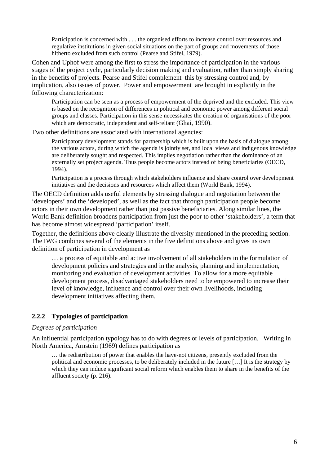Participation is concerned with . . . the organised efforts to increase control over resources and regulative institutions in given social situations on the part of groups and movements of those hitherto excluded from such control (Pearse and Stifel, 1979).

Cohen and Uphof were among the first to stress the importance of participation in the various stages of the project cycle, particularly decision making and evaluation, rather than simply sharing in the benefits of projects. Pearse and Stifel complement this by stressing control and, by implication, also issues of power. Power and empowerment are brought in explicitly in the following characterization:

Participation can be seen as a process of empowerment of the deprived and the excluded. This view is based on the recognition of differences in political and economic power among different social groups and classes. Participation in this sense necessitates the creation of organisations of the poor which are democratic, independent and self-reliant (Ghai, 1990).

Two other definitions are associated with international agencies:

Participatory development stands for partnership which is built upon the basis of dialogue among the various actors, during which the agenda is jointly set, and local views and indigenous knowledge are deliberately sought and respected. This implies negotiation rather than the dominance of an externally set project agenda. Thus people become actors instead of being beneficiaries (OECD, 1994).

Participation is a process through which stakeholders influence and share control over development initiatives and the decisions and resources which affect them (World Bank, 1994).

The OECD definition adds useful elements by stressing dialogue and negotiation between the 'developers' and the 'developed', as well as the fact that through participation people become actors in their own development rather than just passive beneficiaries. Along similar lines, the World Bank definition broadens participation from just the poor to other 'stakeholders', a term that has become almost widespread 'participation' itself.

Together, the definitions above clearly illustrate the diversity mentioned in the preceding section. The IWG combines several of the elements in the five definitions above and gives its own definition of participation in development as

… a process of equitable and active involvement of all stakeholders in the formulation of development policies and strategies and in the analysis, planning and implementation, monitoring and evaluation of development activities. To allow for a more equitable development process, disadvantaged stakeholders need to be empowered to increase their level of knowledge, influence and control over their own livelihoods, including development initiatives affecting them.

## **2.2.2 Typologies of participation**

## *Degrees of participation*

An influential participation typology has to do with degrees or levels of participation. Writing in North America, Arnstein (1969) defines participation as

… the redistribution of power that enables the have-not citizens, presently excluded from the political and economic processes, to be deliberately included in the future […] It is the strategy by which they can induce significant social reform which enables them to share in the benefits of the affluent society (p. 216).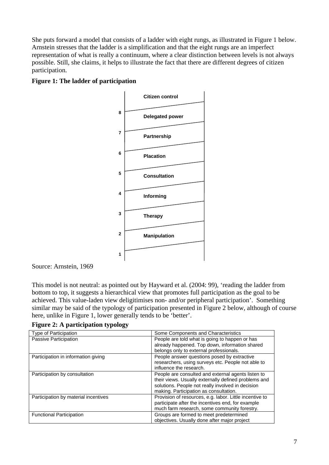She puts forward a model that consists of a ladder with eight rungs, as illustrated in Figure 1 below. Arnstein stresses that the ladder is a simplification and that the eight rungs are an imperfect representation of what is really a continuum, where a clear distinction between levels is not always possible. Still, she claims, it helps to illustrate the fact that there are different degrees of citizen participation.



## **Figure 1: The ladder of participation**

Source: Arnstein, 1969

This model is not neutral: as pointed out by Hayward et al. (2004: 99), 'reading the ladder from bottom to top, it suggests a hierarchical view that promotes full participation as the goal to be achieved. This value-laden view deligitimises non- and/or peripheral participation'. Something similar may be said of the typology of participation presented in Figure 2 below, although of course here, unlike in Figure 1, lower generally tends to be 'better'.

**Figure 2: A participation typology** 

| Type of Participation                | Some Components and Characteristics                     |  |
|--------------------------------------|---------------------------------------------------------|--|
| Passive Participation                | People are told what is going to happen or has          |  |
|                                      | already happened. Top down, information shared          |  |
|                                      | belongs only to external professionals.                 |  |
| Participation in information giving  | People answer questions posed by extractive             |  |
|                                      | researchers, using surveys etc. People not able to      |  |
|                                      | influence the research.                                 |  |
| Participation by consultation        | People are consulted and external agents listen to      |  |
|                                      | their views. Usually externally defined problems and    |  |
|                                      | solutions. People not really involved in decision       |  |
|                                      | making. Participation as consultation.                  |  |
| Participation by material incentives | Provision of resources, e.g. labor. Little incentive to |  |
|                                      | participate after the incentives end, for example       |  |
|                                      | much farm research, some community forestry.            |  |
| <b>Functional Participation</b>      | Groups are formed to meet predetermined                 |  |
|                                      | objectives. Usually done after major project            |  |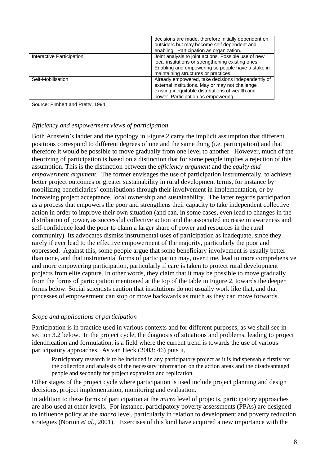|                           | decisions are made, therefore initially dependent on<br>outsiders but may become self dependent and<br>enabling. Participation as organization.                                                         |
|---------------------------|---------------------------------------------------------------------------------------------------------------------------------------------------------------------------------------------------------|
| Interactive Participation | Joint analysis to joint actions. Possible use of new<br>local institutions or strengthening existing ones.<br>Enabling and empowering so people have a stake in<br>maintaining structures or practices. |
| Self-Mobilisation         | Already empowered, take decisions independently of<br>external institutions. May or may not challenge<br>existing inequitable distributions of wealth and<br>power. Participation as empowering.        |

Source: Pimbert and Pretty, 1994.

## *Efficiency and empowerment views of participation*

Both Arnstein's ladder and the typology in Figure 2 carry the implicit assumption that different positions correspond to different degrees of one and the same thing (i.e. participation) and that therefore it would be possible to move gradually from one level to another. However, much of the theorizing of participation is based on a distinction that for some people implies a rejection of this assumption. This is the distinction between the *efficiency argument* and the *equity and empowerment argument*. The former envisages the use of participation instrumentally, to achieve better project outcomes or greater sustainability in rural development terms, for instance by mobilizing beneficiaries' contributions through their involvement in implementation, or by increasing project acceptance, local ownership and sustainability. The latter regards participation as a process that empowers the poor and strengthens their capacity to take independent collective action in order to improve their own situation (and can, in some cases, even lead to changes in the distribution of power, as successful collective action and the associated increase in awareness and self-confidence lead the poor to claim a larger share of power and resources in the rural community). Its advocates dismiss instrumental uses of participation as inadequate, since they rarely if ever lead to the effective empowerment of the majority, particularly the poor and oppressed. Against this, some people argue that some beneficiary involvement is usually better than none, and that instrumental forms of participation may, over time, lead to more comprehensive and more empowering participation, particularly if care is taken to protect rural development projects from elite capture. In other words, they claim that it may be possible to move gradually from the forms of participation mentioned at the top of the table in Figure 2, towards the deeper forms below. Social scientists caution that institutions do not usually work like that, and that processes of empowerment can stop or move backwards as much as they can move forwards.

## *Scope and applications of participation*

Participation is in practice used in various contexts and for different purposes, as we shall see in section 3.2 below. In the project cycle, the diagnosis of situations and problems, leading to project identification and formulation, is a field where the current trend is towards the use of various participatory approaches. As van Heck (2003: 46) puts it,

Participatory research is to be included in any participatory project as it is indispensable firstly for the collection and analysis of the necessary information on the action areas and the disadvantaged people and secondly for project expansion and replication.

Other stages of the project cycle where participation is used include project planning and design decisions, project implementation, monitoring and evaluation.

In addition to these forms of participation at the *micro* level of projects, participatory approaches are also used at other levels. For instance, participatory poverty assessments (PPAs) are designed to influence policy at the *macro* level, particularly in relation to development and poverty reduction strategies (Norton *et al.,* 2001). Exercises of this kind have acquired a new importance with the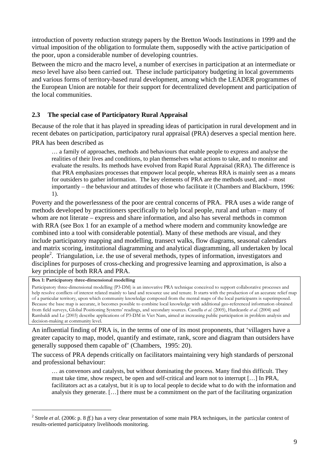introduction of poverty reduction strategy papers by the Bretton Woods Institutions in 1999 and the virtual imposition of the obligation to formulate them, supposedly with the active participation of the poor, upon a considerable number of developing countries.

Between the micro and the macro level, a number of exercises in participation at an intermediate or *meso* level have also been carried out. These include participatory budgeting in local governments and various forms of territory-based rural development, among which the LEADER programmes of the European Union are notable for their support for decentralized development and participation of the local communities.

## **2.3 The special case of Participatory Rural Appraisal**

Because of the role that it has played in spreading ideas of participation in rural development and in recent debates on participation, participatory rural appraisal (PRA) deserves a special mention here.

PRA has been described as

… a family of approaches, methods and behaviours that enable people to express and analyse the realities of their lives and conditions, to plan themselves what actions to take, and to monitor and evaluate the results. Its methods have evolved from Rapid Rural Appraisal (RRA). The difference is that PRA emphasizes processes that empower local people, whereas RRA is mainly seen as a means for outsiders to gather information. The key elements of PRA are the methods used, and – most importantly – the behaviour and attitudes of those who facilitate it (Chambers and Blackburn, 1996: 1).

Poverty and the powerlessness of the poor are central concerns of PRA. PRA uses a wide range of methods developed by practitioners specifically to help local people, rural and urban – many of whom are not literate – express and share information, and also has several methods in common with RRA (see Box 1 for an example of a method where modern and community knowledge are combined into a tool with considerable potential). Many of these methods are visual, and they include participatory mapping and modelling, transect walks, flow diagrams, seasonal calendars and matrix scoring, institutional diagramming and analytical diagramming, all undertaken by local people<sup>2</sup>. Triangulation, i.e. the use of several methods, types of information, investigators and disciplines for purposes of cross-checking and progressive learning and approximation, is also a key principle of both RRA and PRA.

**Box 1: Participatory three-dimensional modelling** 

 $\overline{a}$ 

Participatory three-dimensional modelling (P3-DM) is an innovative PRA technique conceived to support collaborative processes and help resolve conflicts of interest related mainly to land and resource use and tenure. It starts with the production of an accurate relief map of a particular territory, upon which community knowledge composed from the mental maps of the local participants is superimposed. Because the base map is accurate, it becomes possible to combine local knowledge with additional geo-referenced information obtained from field surveys, Global Positioning Systems' readings, and secondary sources. Castella *et al.* (2005), Hardcastle *et al.* (2004) and Rambaldi and Le (2003) describe applications of P3-DM in Viet Nam, aimed at increasing public participation in problem analysis and decision-making at community level.

An influential finding of PRA is, in the terms of one of its most proponents, that 'villagers have a greater capacity to map, model, quantify and estimate, rank, score and diagram than outsiders have generally supposed them capable of' (Chambers, 1995: 20).

The success of PRA depends critically on facilitators maintaining very high standards of perszonal and professional behaviour:

… as convenors and catalysts, but without dominating the process. Many find this difficult. They must take time, show respect, be open and self-critical and learn not to interrupt […] In PRA, facilitators act as a catalyst, but it is up to local people to decide what to do with the information and analysis they generate. […] there must be a commitment on the part of the facilitating organization

<sup>&</sup>lt;sup>2</sup> Strele *et al.* (2006: p. 8  $ff$ .) has a very clear presentation of some main PRA techniques, in the particular context of results-oriented participatory livelihoods monitoring.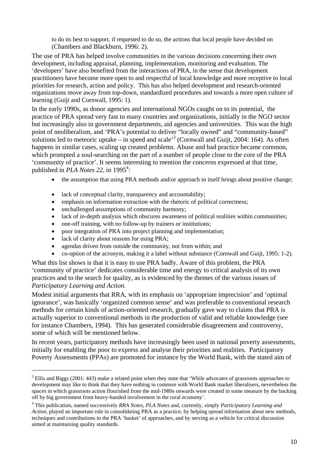to do its best to support, if requested to do so, the actions that local people have decided on (Chambers and Blackburn, 1996: 2).

The use of PRA has helped involve communities in the various decisions concerning their own development, including appraisal, planning, implementation, monitoring and evaluation. The 'developers' have also benefited from the interactions of PRA, in the sense that development practitioners have become more open to and respectful of local knowledge and more receptive to local priorities for research, action and policy. This has also helped development and research-oriented organizations move away from top-down, standardized procedures and towards a more open culture of learning (Guijt and Cornwall, 1995: 1).

In the early 1990s, as donor agencies and international NGOs caught on to its potential, the practice of PRA spread very fast to many countries and organizations, initially in the NGO sector but increasingly also in government departments, aid agencies and universities. This was the high point of neoliberalism, and 'PRA's potential to deliver "locally owned" and "community-based" solutions led to meteoric uptake – in speed and scale<sup>3</sup> (Cornwall and Guijt, 2004: 164). As often happens in similar cases, scaling up created problems. Abuse and bad practice became common, which prompted a soul-searching on the part of a number of people close to the core of the PRA 'community of practice'. It seems interesting to mention the concerns expressed at that time, published in  $PLA$  Notes 22, in 1995<sup>4</sup>:

- the assumption that using PRA methods and/or approach in itself brings about positive change;
- lack of conceptual clarity, transparency and accountability;
- emphasis on information extraction with the rhetoric of political correctness;
- unchallenged assumptions of community harmony;
- lack of in-depth analysis which obscures awareness of political realities within communities;
- one-off training, with no follow-up by trainers or institutions;
- poor integration of PRA into project planning and implementation;
- lack of clarity about reasons for using PRA;

 $\overline{a}$ 

- agendas driven from outside the community, not from within; and
- co-option of the acronym, making it a label without substance (Cornwall and Guijt, 1995: 1-2).

What this list shows is that it is easy to use PRA badly. Aware of this problem, the PRA 'community of practice' dedicates considerable time and energy to critical analysis of its own practices and to the search for quality, as is evidenced by the themes of the various issues of *Participatory Learning and Action.* 

Modest initial arguments that RRA, with its emphasis on 'appropriate imprecision' and 'optimal ignorance', was basically 'organized common sense' and was preferable to conventional research methods for certain kinds of action-oriented research, gradually gave way to claims that PRA is actually superior to conventional methods in the production of valid and reliable knowledge (see for instance Chambers, 1994). This has generated considerable disagreement and controversy, some of which will be mentioned below.

In recent years, participatory methods have increasingly been used in national poverty assessments, initially for enabling the poor to express and analyse their priorities and realities. Participatory Poverty Assessments (PPAs) are promoted for instance by the World Bank, with the stated aim of

 $3$  Ellis and Biggs (2001: 443) make a related point when they state that 'While advocates of grassroots approaches to development may like to think that they have nothing in common with World Bank market liberalisers, nevertheless the spaces in which grassroots action flourished from the mid-1980s onwards were created in some measure by the backing off by big government from heavy-handed involvement in the rural economy'.

<sup>4</sup> This publication, named successively *RRA Notes*, *PLA Notes* and, currently, simply *Participatory Learning and Action*, played an important role in consolidating PRA as a practice, by helping spread information about new methods, techniques and contributions to the PRA 'basket' of approaches, and by serving as a vehicle for critical discussion aimed at maintaining quality standards.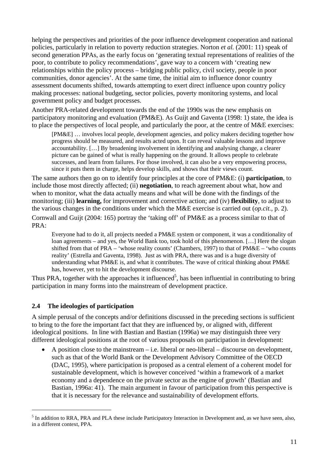helping the perspectives and priorities of the poor influence development cooperation and national policies, particularly in relation to poverty reduction strategies. Norton *et al.* (2001: 11) speak of second generation PPAs, as the early focus on 'generating textual representations of realities of the poor, to contribute to policy recommendations', gave way to a concern with 'creating new relationships within the policy process – bridging public policy, civil society, people in poor communities, donor agencies'. At the same time, the initial aim to influence donor country assessment documents shifted, towards attempting to exert direct influence upon country policy making processes: national budgeting, sector policies, poverty monitoring systems, and local government policy and budget processes.

Another PRA-related development towards the end of the 1990s was the new emphasis on participatory monitoring and evaluation (PM&E). As Guijt and Gaventa (1998: 1) state, the idea is to place the perspectives of local people, and particularly the poor, at the centre of M&E exercises:

[PM&E] … involves local people, development agencies, and policy makers deciding together how progress should be measured, and results acted upon. It can reveal valuable lessons and improve accountability. […] By broadening involvement in identifying and analysing change, a clearer picture can be gained of what is really happening on the ground. It allows people to celebrate successes, and learn from failures. For those involved, it can also be a very empowering process, since it puts them in charge, helps develop skills, and shows that their views count.

The same authors then go on to identify four principles at the core of PM&E: (i) **participation**, to include those most directly affected; (ii) **negotiation**, to reach agreement about what, how and when to monitor, what the data actually means and what will be done with the findings of the monitoring; (iii) **learning,** for improvement and corrective action; and (iv) **flexibility**, to adjust to the various changes in the conditions under which the M&E exercise is carried out (*op.cit.,* p. 2). Cornwall and Guijt (2004: 165) portray the 'taking off' of PM&E as a process similar to that of PRA:

Everyone had to do it, all projects needed a PM&E system or component, it was a conditionality of loan agreements – and yes, the World Bank too, took hold of this phenomenon. […] Here the slogan shifted from that of PRA – 'whose reality counts' (Chambers, 1997) to that of PM&E – 'who counts reality' (Estrella and Gaventa, 1998). Just as with PRA, there was and is a huge diversity of understanding what PM&E is, and what it contributes. The wave of critical thinking about PM&E has, however, yet to hit the development discourse.

Thus PRA, together with the approaches it influenced<sup>5</sup>, has been influential in contributing to bring participation in many forms into the mainstream of development practice.

## **2.4 The ideologies of participation**

 $\overline{a}$ 

A simple perusal of the concepts and/or definitions discussed in the preceding sections is sufficient to bring to the fore the important fact that they are influenced by, or aligned with, different ideological positions. In line with Bastian and Bastian (1996a) we may distinguish three very different ideological positions at the root of various proposals on participation in development:

• A position close to the mainstream  $-$  i.e. liberal or neo-liberal  $-$  discourse on development, such as that of the World Bank or the Development Advisory Committee of the OECD (DAC, 1995), where participation is proposed as a central element of a coherent model for sustainable development, which is however conceived 'within a framework of a market economy and a dependence on the private sector as the engine of growth' (Bastian and Bastian, 1996a: 41). The main argument in favour of participation from this perspective is that it is necessary for the relevance and sustainability of development efforts.

<sup>&</sup>lt;sup>5</sup> In addition to RRA, PRA and PLA these include Participatory Interaction in Development and, as we have seen, also, in a different context, PPA.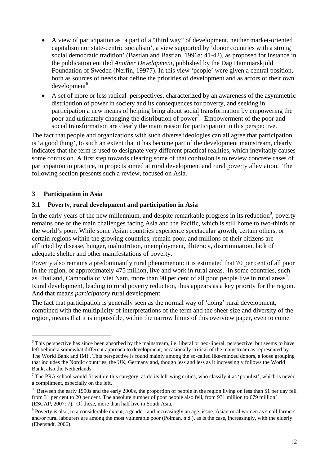- A view of participation as 'a part of a "third way" of development, neither market-oriented capitalism nor state-centric socialism', a view supported by 'donor countries with a strong social democratic tradition' (Bastian and Bastian, 1996a: 41-42), as proposed for instance in the publication entitled *Another Development,* published by the Dag Hammarskjöld Foundation of Sweden (Nerfin, 19977). In this view 'people' were given a central position, both as sources of needs that define the priorities of development and as actors of their own  $development<sup>6</sup>$ .
- A set of more or less radical perspectives, characterized by an awareness of the asymmetric distribution of power in society and its consequences for poverty, and seeking in participation a new means of helping bring about social transformation by empowering the poor and ultimately changing the distribution of power<sup>7</sup>. Empowerment of the poor and social transformation are clearly the main reason for participation in this perspective.

The fact that people and organizations with such diverse ideologies can all agree that participation is 'a good thing', to such an extent that it has become part of the development mainstream, clearly indicates that the term is used to designate very different practical realities, which inevitably causes some confusion. A first step towards clearing some of that confusion is to review concrete cases of participation in practice, in projects aimed at rural development and rural poverty alleviation. The following section presents such a review, focused on Asia.

## **3 Participation in Asia**

 $\overline{a}$ 

## **3.1 Poverty, rural development and participation in Asia**

In the early years of the new millennium, and despite remarkable progress in its reduction<sup>8</sup>, poverty remains one of the main challenges facing Asia and the Pacific, which is still home to two-thirds of the world's poor. While some Asian countries experience spectacular growth, certain others, or certain regions within the growing countries, remain poor, and millions of their citizens are afflicted by disease, hunger, malnutrition, unemployment, illiteracy, discrimination, lack of adequate shelter and other manifestations of poverty.

Poverty also remains a predominantly rural phenomenon: it is estimated that 70 per cent of all poor in the region, or approximately 475 million, live and work in rural areas. In some countries, such as Thailand, Cambodia or Viet Nam, more than 90 per cent of all poor people live in rural areas<sup>9</sup>. Rural development, leading to rural poverty reduction, thus appears as a key priority for the region. And that means *participatory* rural development.

The fact that participation is generally seen as the normal way of 'doing' rural development, combined with the multiplicity of interpretations of the term and the sheer size and diversity of the region, means that it is impossible, within the narrow limits of this overview paper, even to come

 $6$  This perspective has since been absorbed by the mainstream, i.e. liberal or neo-liberal, perspective, but seems to have left behind a somewhat different approach to development, occasionally critical of the mainstream as represented by The World Bank and IMF. This perspective is found mainly among the so-called like-minded donors, a loose grouping that includes the Nordic countries, the UK, Germany and, though less and less as it increasingly follows the World Bank, also the Netherlands.

<sup>&</sup>lt;sup>7</sup> The PRA school would fit within this category, as do its left-wing critics, who classify it as 'populist', which is never a compliment, especially on the left.

<sup>&</sup>lt;sup>8</sup> 'Between the early 1990s and the early 2000s, the proportion of people in the region living on less than \$1 per day fell from 31 per cent to 20 per cent. The absolute number of poor people also fell, from 931 million to 679 million' (ESCAP, 2007: 7). Of these, more than half live in South Asia.

<sup>&</sup>lt;sup>9</sup> Poverty is also, to a considerable extent, a gender, and increasingly an age, issue. Asian rural women as small farmers and/or rural labourers are among the most vulnerable poor (Polman, n.d.), as is the case, increasingly, with the elderly (Eberstadt, 2006).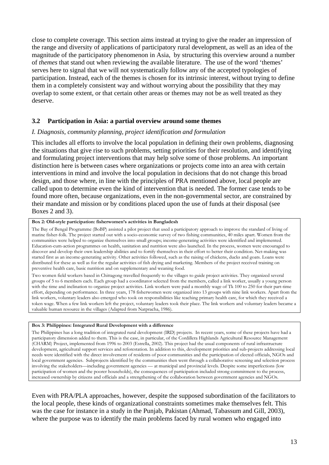close to complete coverage. This section aims instead at trying to give the reader an impression of the range and diversity of applications of participatory rural development, as well as an idea of the magnitude of the participatory phenomenon in Asia, by structuring this overview around a number of *themes* that stand out when reviewing the available literature. The use of the word 'themes' serves here to signal that we will not systematically follow any of the accepted typologies of participation. Instead, each of the themes is chosen for its intrinsic interest, without trying to define them in a completely consistent way and without worrying about the possibility that they may overlap to some extent, or that certain other areas or themes may not be as well treated as they deserve.

## **3.2 Participation in Asia: a partial overview around some themes**

## *I. Diagnosis, community planning, project identification and formulation*

This includes all efforts to involve the local population in defining their own problems, diagnosing the situations that give rise to such problems, setting priorities for their resolution, and identifying and formulating project interventions that may help solve some of those problems. An important distinction here is between cases where organizations or projects come into an area with certain interventions in mind and involve the local population in decisions that do not change this broad design, and those where, in line with the principles of PRA mentioned above, local people are called upon to determine even the kind of intervention that is needed. The former case tends to be found more often, because organizations, even in the non-governmental sector, are constrained by their mandate and mission or by conditions placed upon the use of funds at their disposal (see Boxes 2 and 3).

#### **Box 2: Old-style participation: fisherwomen's activities in Bangladesh**

The Bay of Bengal Programme (BoBP) assisted a pilot project that used a participatory approach to improve the standard of living of marine fisher-folk. The project started out with a socio-economic survey of two fishing communities, 40 miles apart. Women from the communities were helped to organize themselves into small groups; income-generating activities were identified and implemented. Education-cum-action programmes on health, sanitation and nutrition were also launched. In the process, women were encouraged to discover and develop their own leadership abilities and to fortify themselves in their effort to better their condition. Net-making was started first as an income-generating activity. Other activities followed, such as the raising of chickens, ducks and goats. Loans were distributed for these as well as for the regular activities of fish drying and marketing. Members of the project received training on preventive health care, basic nutrition and on supplementary and weaning food.

Two women field workers based in Chittagong travelled frequently to the villages to guide project activities. They organized several groups of 5 to 6 members each. Each group had a coordinator selected from the members, called a link worker, usually a young person with the time and inclination to organize project activities. Link workers were paid a monthly wage of Tk 100 to 250 for their part-time effort, depending on performance. In three years, 178 fisherwomen were organized into 13 groups with nine link workers. Apart from the link workers, voluntary leaders also emerged who took on responsibilities like teaching primary health care, for which they received a token wage. When a few link workers left the project, voluntary leaders took their place. The link workers and voluntary leaders became a valuable human resource in the villages (Adapted from Natpracha, 1986).

#### **Box 3: Philippines: Integrated Rural Development with a difference**

The Philippines has a long tradition of integrated rural development (IRD) projects. In recent years, some of these projects have had a participatory dimension added to them. This is the case, in particular, of the Cordillera Highlands Agricultural Resource Management (CHARM) Project, implemented from 1996 to 2003 (Estrella, 2002). This project had the usual components of rural infrastructure development, agricultural support services and reforestation. In addition to this, development priorities and sub-projects addressing local needs were identified with the direct involvement of residents of poor communities and the participation of elected officials, NGOs and local government agencies. Subprojects identified by the communities then went through a collaborative screening and selection process involving the stakeholders—including government agencies — at municipal and provincial levels. Despite some imperfections (low participation of women and the poorer households), the consequences of participation included strong commitment to the process, increased ownership by citizens and officials and a strengthening of the collaboration between government agencies and NGOs.

Even with PRA/PLA approaches, however, despite the supposed subordination of the facilitators to the local people, these kinds of organizational constraints sometimes make themselves felt. This was the case for instance in a study in the Punjab, Pakistan (Ahmad, Tabassum and Gill, 2003), where the purpose was to identify the main problems faced by rural women who engaged into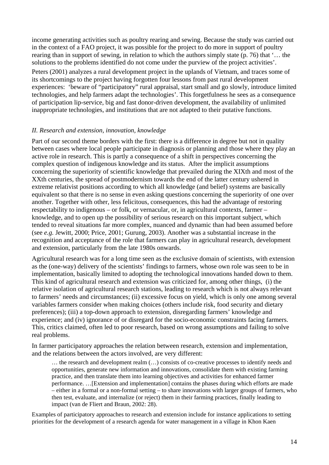income generating activities such as poultry rearing and sewing. Because the study was carried out in the context of a FAO project, it was possible for the project to do more in support of poultry rearing than in support of sewing, in relation to which the authors simply state (p. 76) that '… the solutions to the problems identified do not come under the purview of the project activities'.

Peters (2001) analyzes a rural development project in the uplands of Vietnam, and traces some of its shortcomings to the project having forgotten four lessons from past rural development experiences: 'beware of "participatory" rural appraisal, start small and go slowly, introduce limited technologies, and help farmers adapt the technologies'. This forgetfulness he sees as a consequence of participation lip-service, big and fast donor-driven development, the availability of unlimited inappropriate technologies, and institutions that are not adapted to their putative functions.

## *II. Research and extension, innovation, knowledge*

Part of our second theme borders with the first: there is a difference in degree but not in quality between cases where local people participate in diagnosis or planning and those where they play an active role in research. This is partly a consequence of a shift in perspectives concerning the complex question of indigenous knowledge and its status. After the implicit assumptions concerning the superiority of scientific knowledge that prevailed during the XIXth and most of the XXth centuries, the spread of postmodernism towards the end of the latter century ushered in extreme relativist positions according to which all knowledge (and belief) systems are basically equivalent so that there is no sense in even asking questions concerning the superiority of one over another. Together with other, less felicitous, consequences, this had the advantage of restoring respectability to indigenous – or folk, or vernacular, or, in agricultural contexts, farmer – knowledge, and to open up the possibility of serious research on this important subject, which tended to reveal situations far more complex, nuanced and dynamic than had been assumed before (see *e.g.* Jewitt, 2000; Price, 2001; Gurung, 2003). Another was a substantial increase in the recognition and acceptance of the role that farmers can play in agricultural research, development and extension, particularly from the late 1980s onwards.

Agricultural research was for a long time seen as the exclusive domain of scientists, with extension as the (one-way) delivery of the scientists' findings to farmers, whose own role was seen to be in implementation, basically limited to adopting the technological innovations handed down to them. This kind of agricultural research and extension was criticized for, among other things, (i) the relative isolation of agricultural research stations, leading to research which is not always relevant to farmers' needs and circumstances; (ii) excessive focus on yield, which is only one among several variables farmers consider when making choices (others include risk, food security and dietary preferences); (iii) a top-down approach to extension, disregarding farmers' knowledge and experience; and (iv) ignorance of or disregard for the socio-economic constraints facing farmers. This, critics claimed, often led to poor research, based on wrong assumptions and failing to solve real problems.

In farmer participatory approaches the relation between research, extension and implementation, and the relations between the actors involved, are very different:

… the research and development realm (…) consists of co-creative processes to identify needs and opportunities, generate new information and innovations, consolidate them with existing farming practice, and then translate them into learning objectives and activities for enhanced farmer performance. …[Extension and implementation] contains the phases during which efforts are made – either in a formal or a non-formal setting – to share innovations with larger groups of farmers, who then test, evaluate, and internalize (or reject) them in their farming practices, finally leading to impact (van de Fliert and Braun, 2002: 28).

Examples of participatory approaches to research and extension include for instance applications to setting priorities for the development of a research agenda for water management in a village in Khon Kaen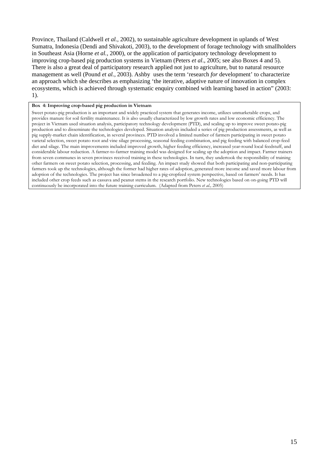Province, Thailand (Caldwell *et al.,* 2002), to sustainable agriculture development in uplands of West Sumatra, Indonesia (Dendi and Shivakoti, 2003), to the development of forage technology with smallholders in Southeast Asia (Horne *et al.,* 2000), or the application of participatory technology development to improving crop-based pig production systems in Vietnam (Peters *et al*., 2005; see also Boxes 4 and 5). There is also a great deal of participatory research applied not just to agriculture, but to natural resource management as well (Pound *et al.,* 2003). Ashby uses the term 'research *for* development' to characterize an approach which she describes as emphasizing 'the iterative, adaptive nature of innovation in complex ecosystems, which is achieved through systematic enquiry combined with learning based in action" (2003: 1).

#### **Box 4: Improving crop-based pig production in Vietnam**

Sweet potato-pig production is an important and widely practiced system that generates income, utilizes unmarketable crops, and provides manure for soil fertility maintenance. It is also usually characterized by low growth rates and low economic efficiency. The project in Vietnam used situation analysis, participatory technology development (PTD), and scaling up to improve sweet potato-pig production and to disseminate the technologies developed. Situation analysis included a series of pig production assessments, as well as pig supply-market chain identification, in several provinces. PTD involved a limited number of farmers participating in sweet potato varietal selection, sweet potato root and vine silage processing, seasonal feeding combination, and pig feeding with balanced crop-feed diet and silage. The main improvements included improved growth, higher feeding efficiency, increased year-round local feedstuff, and considerable labour reduction. A farmer-to-farmer training model was designed for scaling up the adoption and impact. Farmer trainers from seven communes in seven provinces received training in these technologies. In turn, they undertook the responsibility of training other farmers on sweet potato selection, processing, and feeding. An impact study showed that both participating and non-participating farmers took up the technologies, although the former had higher rates of adoption, generated more income and saved more labour from adoption of the technologies. The project has since broadened to a pig-cropfeed system perspective, based on farmers' needs. It has included other crop feeds such as cassava and peanut stems in the research portfolio. New technologies based on on-going PTD will continuously be incorporated into the future training curriculum. (Adapted from Peters *et al.,* 2005)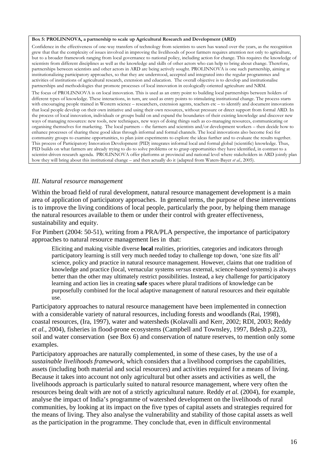#### **Box 5: PROLINNOVA, a partnership to scale up Agricultural Research and Development (ARD)**

Confidence in the effectiveness of one-way transfers of technology from scientists to users has waned over the years, as the recognition grew that that the complexity of issues involved in improving the livelihoods of poor farmers requires attention not only to agriculture, but to a broader framework ranging from local governance to national policy, including action for change. This requires the knowledge of scientists from different disciplines as well as the knowledge and skills of other actors who can help to bring about change. Therefore, partnerships between scientists and other actors in ARD are being actively sought. PROLINNOVA is one such partnership, aiming at institutionalizing participatory approaches, so that they are understood, accepted and integrated into the regular programmes and activities of institutions of agricultural research, extension and education. The overall objective is to develop and institutionalise partnerships and methodologies that promote processes of local innovation in ecologically-oriented agriculture and NRM.

The focus of PROLINNOVA is on local innovation. This is used as an entry point to building local partnerships between holders of different types of knowledge. These interactions, in turn, are used as entry points to stimulating institutional change. The process starts with encouraging people trained in Western science – researchers, extension agents, teachers etc – to identify and document innovations that local people develop on their own initiative and using their own resources, without pressure or direct support from formal ARD. In the process of local innovation, individuals or groups build on and expand the boundaries of their existing knowledge and discover new ways of managing resources: new tools, new techniques, new ways of doing things such as co-managing resources, communicating or organising themselves for marketing. The local partners – the farmers and scientists and/or development workers – then decide how to enhance processes of sharing these good ideas through informal and formal channels. The local innovations also become foci for community groups to examine opportunities, to plan joint experiments to explore the ideas further and to evaluate the results together. This process of Participatory Innovation Development (PID) integrates informal local and formal global (scientific) knowledge. Thus, PID builds on what farmers are already trying to do to solve problems or to grasp opportunities they have identified, in contrast to a scientist-driven research agenda. PROLINNOVA offer platforms at provincial and national level where stakeholders in ARD jointly plan how they will bring about this institutional change – and then actually do it (adapted from Waters-Bayer *et al.,* 2005).

## *III. Natural resource management*

Within the broad field of rural development, natural resource management development is a main area of application of participatory approaches. In general terms, the purpose of these interventions is to improve the living conditions of local people, particularly the poor, by helping them manage the natural resources available to them or under their control with greater effectiveness, sustainability and equity.

For Pimbert (2004: 50-51), writing from a PRA/PLA perspective, the importance of participatory approaches to natural resource management lies in that:

Eliciting and making visible diverse **local** realities, priorities, categories and indicators through participatory learning is still very much needed today to challenge top down, 'one size fits all' science, policy and practice in natural resource management. However, claims that one tradition of knowledge and practice (local, vernacular systems *versus* external, science-based systems) is always better than the other may ultimately restrict possibilities. Instead, a key challenge for participatory learning and action lies in creating **safe** spaces where plural traditions of knowledge can be purposefully combined for the local adaptive management of natural resources and their equitable use.

Participatory approaches to natural resource management have been implemented in connection with a considerable variety of natural resources, including forests and woodlands (Rai, 1998), coastal resources, (Ira, 1997), water and watersheds (Kolavalli and Kerr, 2002; RDI, 2003; Reddy *et al.,* 2004), fisheries in flood-prone ecosystems (Campbell and Townsley, 1997, Bdesh p.223), soil and water conservation (see Box 6) and conservation of nature reserves, to mention only some examples.

Participatory approaches are naturally complemented, in some of these cases, by the use of a *sustainable livelihoods framework*, which considers that a livelihood comprises the capabilities, assets (including both material and social resources) and activities required for a means of living. Because it takes into account not only agricultural but other assets and activities as well, the livelihoods approach is particularly suited to natural resource management, where very often the resources being dealt with are not of a strictly agricultural nature. Reddy *et al.* (2004), for example, analyse the impact of India's programme of watershed development on the livelihoods of rural communities, by looking at its impact on the five types of capital assets and strategies required for the means of living. They also analyse the vulnerability and stability of those capital assets as well as the participation in the programme. They conclude that, even in difficult environmental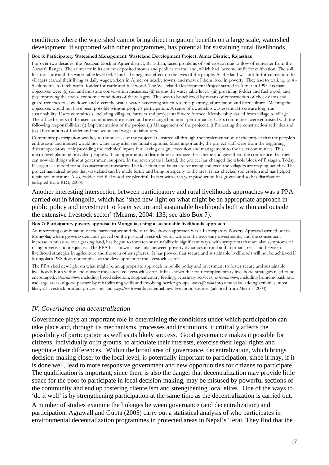## conditions where the watershed cannot bring direct irrigation benefits on a large scale, watershed development, if supported with other programmes, has potential for sustaining rural livelihoods.

#### **Box 6: Participatory Watershed Management: Wasteland Development Project, Almer District, Rajasthan**

For over two decades, the Pissagan block in Ajmer district, Rajasthan, faced problems of soil erosion due to flow of rainwater from the Aaravali Ranges. The rainwater in its course deposited stones and pebbles on the land, which had become unfit for cultivation. The soil lost moisture and the water table level fell. This had a negative effect on the lives of the people. As the land was not fit for cultivation the villagers earned their living as daily wageworkers in Ajmer or nearby towns, and most of them lived in poverty. They had to walk up to 4 - 5 kilometres to fetch water, fodder for cattle and fuel wood. The Wasteland Development Project started in Ajmer in 1995. Its main objectives were: (i) soil and moisture conservation measures; (ii) raising the water table level; (iii) providing fodder and fuel wood, and (iv) improving the socio- economic conditions of the villagers. This was to be achieved by means of construction of check dams and guard trenches to slow down and divert the water, water harvesting structures, tree planting, aforestation and horticulture. Meeting the objectives would not have been possible without people's participation. A sense of ownership was essential to ensure long run sustainability. Users committees, including villagers, farmers and project staff were formed. Membership varied from village to village. The office bearers of the users committees are elected and are changed on non –performance. Users committees were entrusted with the following responsibilities: (i) Implementation of the project (ii) Management of the project (iii) Protecting the construction activities and (iv) Distribution of fodder and fuel wood and wages to labourers.

Community participation was key to the success of the project. It ensured all through the implementation of the project that the people's enthusiasm and interest would not wane away after the initial euphoria. Most importantly, the project staff were from the beginning distant spectators, only providing the technical inputs but leaving design, execution and management to the users committees. This micro-level planning provided people with an opportunity to learn how to manage the scheme and gave them the confidence that they can now do things without government support. In the seven years it lasted, the project has changed the whole block of Pissagan. Today, Pissagan is a model for soil conservation measures. The lost flora and fauna are returning and even the villagers are reaping benefits. This project has raised hopes that wasteland can be made fertile and bring prosperity to the area. It has checked soil erosion and has helped retain soil moisture. Also, fodder and fuel wood are plentiful. In fact with each year production has grown and so has distribution (adapted from RDI, 2003).

Another interesting intersection between participatory and rural livelihoods approaches was a PPA carried out in Mongolia, which has 'shed new light on what might be an appropriate approach in public policy and investment to foster secure and sustainable livelihoods both within and outside the extensive livestock sector' (Mearns, 2004: 133; see also Box 7).

#### **Box 7: Participatory poverty appraisal in Mongolia, using a sustainable livelihoods approach**

An interesting combination of the participatory and the rural livelihoods approach was a Participatory Poverty Appraisal carried out in Mongolia, where growing demands placed on the pastoral livestock sector without the necessary investments, and the consequent increase in pressure over grazing land, has begun to threaten sustainability in significant ways, with symptoms that are also symptoms of rising poverty and inequality. The PPA has shown close links between poverty dynamics in rural and in urban areas, and between livelihood strategies in agriculture and those in other spheres. It has proved that secure and sustainable livelihoods will not be achieved if Mongolia's PRS does not emphasize the development of the livestock sector.

The PPA shed new light on what might be an appropriate approach in public policy and investment to foster secure and sustainable livelihoods both within and outside the extensive livestock sector. It has shown that four complementary livelihood strategies need to be encouraged: *intensification,* including breed selection, supplementary feeding, veterinary services; *extensification*, including bringing back into use large areas of good pasture by rehabilitating wells and involving herder groups; *diversification* into new value adding activities, most likely of livestock product processing; and *migration* towards potential new livelihood sources (adapted from Mearns, 2004).

## *IV. Governance and decentralization*

Governance plays an important role in determining the conditions under which participation can take place and, through its mechanisms, processes and institutions, it critically affects the possibility of participation as well as its likely success. Good governance makes it possible for citizens, individually or in groups, to articulate their interests, exercise their legal rights and negotiate their differences. Within the broad area of governance, decentralization, which brings decision-making closer to the local level, is potentially important to participation, since it may, if it is done well, lead to more responsive government and new opportunities for citizens to participate. The qualification is important, since there is also the danger that decentralization may provide little space for the poor to participate in local decision-making, may be misused by powerful sections of the community and end up fostering clientelism and strengthening local elites. One of the ways to 'do it well' is by strengthening participation at the same time as the decentralization is carried out. A number of studies examine the linkages between governance (and decentralization) and participation. Agrawall and Gupta (2005) carry out a statistical analysis of who participates in environmental decentralization programmes in protected areas in Nepal's Terai. They find that the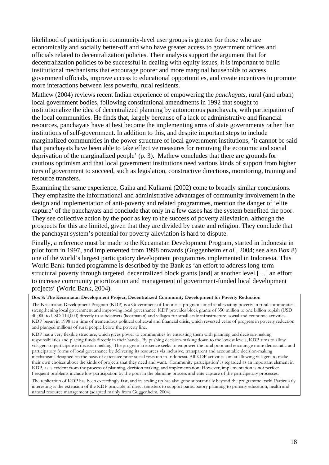likelihood of participation in community-level user groups is greater for those who are economically and socially better-off and who have greater access to government offices and officials related to decentralization policies. Their analysis support the argument that for decentralization policies to be successful in dealing with equity issues, it is important to build institutional mechanisms that encourage poorer and more marginal households to access government officials, improve access to educational opportunities, and create incentives to promote more interactions between less powerful rural residents.

Mathew (2004) reviews recent Indian experience of empowering the *panchayats,* rural (and urban) local government bodies, following constitutional amendments in 1992 that sought to institutionalize the idea of decentralized planning by autonomous panchayats, with participation of the local communities. He finds that, largely bercause of a lack of administrative and financial resources, panchayats have at best become the implementing arms of state governments rather than institutions of self-government. In addition to this, and despite important steps to include marginalized communities in the power structure of local government institutions, 'it cannot be said that panchayats have been able to take effective measures for removing the economic and social deprivation of the marginalized people' (p. 3). Mathew concludes that there are grounds for cautious optimism and that local government institutions need various kinds of support from higher tiers of government to succeed, such as legislation, constructive directions, monitoring, training and resource transfers.

Examining the same experience, Gaiha and Kulkarni (2002) come to broadly similar conclusions. They emphasize the informational and administrative advantages of community involvement in the design and implementation of anti-poverty and related programmes, mention the danger of 'elite capture' of the panchayats and conclude that only in a few cases has the system benefited the poor. They see collective action by the poor as key to the success of poverty alleviation, although the prospects for this are limited, given that they are divided by caste and religion. They conclude that the panchayat system's potential for poverty alleviation is hard to dispute.

Finally, a reference must be made to the Kecamatan Development Program, started in Indonesia in pilot form in 1997, and implemented from 1998 onwards (Guggenheim *et al.,* 2004; see also Box 8) one of the world's largest participatory development programmes implemented in Indonesia. This World Bank-funded programme is described by the Bank as 'an effort to address long-term structural poverty through targeted, decentralized block grants [and] at another level […] an effort to increase community prioritization and management of government-funded local development projects' (World Bank, 2004).

KDP has a very flexible structure, which gives power to communities by entrusting them with planning and decision-making responsibilities and placing funds directly in their hands. By pushing decision-making down to the lowest levels, KDP aims to allow villagers to participate in decision-making. The program in essence seeks to empower the rural poor and encourage more democratic and participatory forms of local governance by delivering its resources via inclusive, transparent and accountable decision-making mechanisms designed on the basis of extensive prior social research in Indonesia. All KDP activities aim at allowing villagers to make their own choices about the kinds of projects that they need and want. 'Community participation' is regarded as an important element in KDP, as is evident from the process of planning, decision making, and implementation. However, implementation is not perfect. Frequent problems include low participation by the poor in the planning process and elite capture of the participatory processes.

The replication of KDP has been exceedingly fast, and its scaling up has also gone substantially beyond the programme itself. Particularly interesting is the extension of the KDP principle of direct transfers to support participatory planning to primary education, health and natural resource management (adapted mainly from Guggenheim, 2004).

**Box 8: The Kecamatan Development Project, Decentralized Community Development for Poverty Reduction** 

The Kecamatan Development Program (KDP) is a Government of Indonesia program aimed at alleviating poverty in rural communities, strengthening local government and improving local governance. KDP provides block grants of 350 million to one billion rupiah (USD 40,000 to USD 114,000) directly to subdistricts (kecamatan) and villages for small-scale infrastructure, social and economic activities. KDP began in 1998 at a time of tremendous political upheaval and financial crisis, which reversed years of progress in poverty reduction and plunged millions of rural people below the poverty line.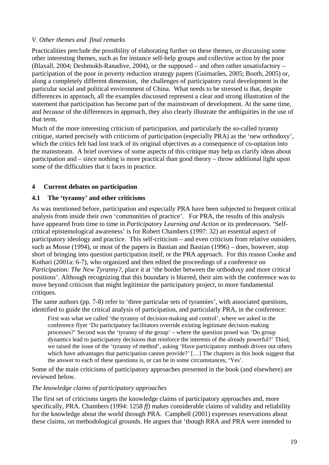## *V. Other themes and final remarks*

Practicalities preclude the possibility of elaborating further on these themes, or discussing some other interesting themes, such as for instance self-help groups and collective action by the poor (Blaxall, 2004; Deshmukh-Ranadive, 2004), or the supposed – and often rather unsatisfactory – participation of the poor in poverty reduction strategy papers (Guimarães, 2005; Booth, 2005) or, along a completely different dimension, the challenges of participatory rural development in the particular social and political environment of China. What needs to be stressed is that, despite differences in approach, all the examples discussed represent a clear and strong illustration of the statement that participation has become part of the mainstream of development. At the same time, and *because* of the differences in approach, they also clearly illustrate the ambiguities in the use of that term.

Much of the more interesting criticism of participation, and particularly the so-called tyranny critique, started precisely with criticisms of participation (especially PRA) as the 'new orthodoxy', which the critics felt had lost track of its original objectives as a consequence of co-optation into the mainstream. A brief overview of some aspects of this critique may help us clarify ideas about participation and – since nothing is more practical than good theory – throw additional light upon some of the difficulties that it faces in practice.

## **4 Current debates on participation**

## **4.1 The 'tyranny' and other criticisms**

As was mentioned before, participation and especially PRA have been subjected to frequent critical analysis from inside their own 'communities of practice'. For PRA, the results of this analysis have appeared from time to time in *Participatory Learning and Action* or its predecessors. 'Selfcritical epistemological awareness' is for Robert Chambers (1997: 32) an essential aspect of participatory ideology and practice. This self-criticism – and even criticism from relative outsiders, such as Mosse (1994), or most of the papers in Bastian and Bastian (1996) – does, however, stop short of bringing into question participation itself, or the PRA approach. For this reason Cooke and Kothari (2001a: 6-7), who organized and then edited the proceedings of a conference on *Participation: The New Tyranny?,* place it at 'the border between the orthodoxy and more critical positions'. Although recognizing that this boundary is blurred, their aim with the conference was to move beyond criticism that might legitimize the participatory project, to more fundamental critiques.

The same authors (pp. 7-8) refer to 'three particular sets of tyrannies', with associated questions, identified to guide the critical analysis of participation, and particularly PRA, in the conference:

First was what we called 'the tyranny of decision-making and control', where we asked in the conference flyer 'Do participatory facilitators override existing legitimate decision-making processes?' Second was the 'tyranny of the group' – where the question posed was 'Do group dynamics lead to participatory decisions that reinforce the interests of the already powerful?' Third, we raised the issue of the 'tyranny of method', asking 'Have participatory methods driven out others which have advantages that participation cannot provide?' [...] The chapters in this book suggest that the answer to each of these questions is, or can be in some circumstances, 'Yes'.

Some of the main criticisms of participatory approaches presented in the book (and elsewhere) are reviewed below.

## *The knowledge claims of participatory approaches*

The first set of criticisms targets the knowledge claims of participatory approaches and, more specifically, PRA. Chambers (1994: 1258 *ff)* makes considerable claims of validity and reliability for the knowledge about the world through PRA. Campbell (2001) expresses reservations about these claims, on methodological grounds. He argues that 'though RRA and PRA were intended to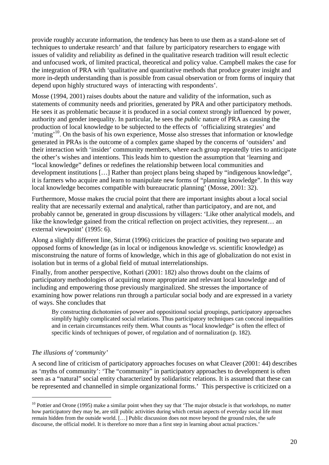provide roughly accurate information, the tendency has been to use them as a stand-alone set of techniques to undertake research' and that failure by participatory researchers to engage with issues of validity and reliability as defined in the qualitative research tradition will result eclectic and unfocused work, of limited practical, theoretical and policy value. Campbell makes the case for the integration of PRA with 'qualitative and quantitative methods that produce greater insight and more in-depth understanding than is possible from casual observation or from forms of inquiry that depend upon highly structured ways of interacting with respondents'.

Mosse (1994, 2001) raises doubts about the nature and validity of the information, such as statements of community needs and priorities, generated by PRA and other participatory methods. He sees it as problematic because it is produced in a social context strongly influenced by power, authority and gender inequality. In particular, he sees the *public* nature of PRA as causing the production of local knowledge to be subjected to the effects of 'officializing strategies' and  $\cdot$ muting<sup>, 10</sup>. On the basis of his own experience, Mosse also stresses that information or knowledge generated in PRAs is the outcome of a complex game shaped by the concerns of 'outsiders' and their interaction with 'insider' community members, where each group repeatedly tries to anticipate the other's wishes and intentions. This leads him to question the assumption that 'learning and "local knowledge" defines or redefines the relationship between local communities and development institutions […] Rather than project plans being shaped by "indigenous knowledge", it is farmers who acquire and learn to manipulate new forms of "planning knowledge". In this way local knowledge becomes compatible with bureaucratic planning' (Mosse, 2001: 32).

Furthermore, Mosse makes the crucial point that there are important insights about a local social reality that are necessarily external and analytical, rather than participatory, and are not, and probably cannot be, generated in group discussions by villagers: 'Like other analytical models, and like the knowledge gained from the critical reflection on project activities, they represent… an external viewpoint' (1995: 6).

Along a slightly different line, Stirrat (1996) criticizes the practice of positing two separate and opposed forms of knowledge (as in local or indigenous knowledge *vs.* scientific knowledge) as misconstruing the nature of forms of knowledge, which in this age of globalization do not exist in isolation but in terms of a global field of mutual interrelationships.

Finally, from another perspective, Kothari (2001: 182) also throws doubt on the claims of participatory methodologies of acquiring more appropriate and relevant local knowledge and of including and empowering those previously marginalized. She stresses the importance of examining how power relations run through a particular social body and are expressed in a variety of ways. She concludes that

By constructing dichotomies of power and oppositional social groupings, participatory approaches simplify highly complicated social relations. Thus participatory techniques can conceal inequalities and in certain circumstances reify them. What counts as "local knowledge" is often the effect of specific kinds of techniques of power, of regulation and of normalization (p. 182).

## *The illusions of 'community'*

 $\overline{a}$ 

A second line of criticism of participatory approaches focuses on what Cleaver (2001: 44) describes as 'myths of community': 'The "community" in participatory approaches to development is often seen as a "natural" social entity characterized by solidaristic relations. It is assumed that these can be represented and channelled in simple organizational forms.' This perspective is criticized on a

 $10$  Pottier and Orone (1995) make a similar point when they say that 'The major obstacle is that workshops, no matter how participatory they may be, are still public activities during which certain aspects of everyday social life must remain hidden from the outside world. […] Public discussion does not move beyond the ground rules, the safe discourse, the official model. It is therefore no more than a first step in learning about actual practices.'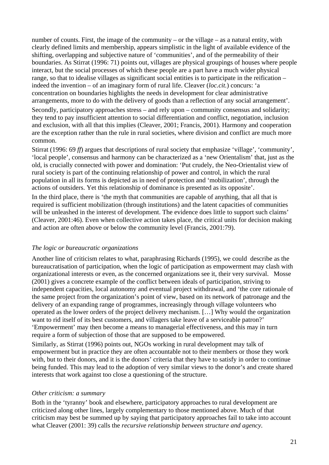number of counts. First, the image of the community – or the village – as a natural entity, with clearly defined limits and membership, appears simplistic in the light of available evidence of the shifting, overlapping and subjective nature of 'communities', and of the permeability of their boundaries. As Stirrat (1996: 71) points out, villages are physical groupings of houses where people interact, but the social processes of which these people are a part have a much wider physical range, so that to idealise villages as significant social entities is to participate in the reification – indeed the invention – of an imaginary form of rural life. Cleaver (*loc.cit.*) concurs: 'a concentration on boundaries highlights the needs in development for clear administrative arrangements, more to do with the delivery of goods than a reflection of any social arrangement'.

Secondly, participatory approaches stress – and rely upon – community consensus and solidarity; they tend to pay insufficient attention to social differentiation and conflict, negotiation, inclusion and exclusion, with all that this implies (Cleaver, 2001; Francis, 2001). Harmony and cooperation are the exception rather than the rule in rural societies, where division and conflict are much more common.

Stirrat (1996: 69 ff) argues that descriptions of rural society that emphasize 'village', 'community', 'local people', consensus and harmony can be characterized as a 'new Orientalism' that, just as the old, is crucially connected with power and domination: 'Put crudely, the Neo-Orientalist view of rural society is part of the continuing relationship of power and control, in which the rural population in all its forms is depicted as in need of protection and 'mobilization', through the actions of outsiders. Yet this relationship of dominance is presented as its opposite'.

In the third place, there is 'the myth that communities are capable of anything, that all that is required is sufficient mobilization (through institutions) and the latent capacities of communities will be unleashed in the interest of development. The evidence does little to support such claims' (Cleaver, 2001:46). Even when collective action takes place, the critical units for decision making and action are often above or below the community level (Francis, 2001:79).

## *The logic or bureaucratic organizations*

Another line of criticism relates to what, paraphrasing Richards (1995), we could describe as the bureaucratisation of participation, when the logic of participation as empowerment may clash with organizational interests or even, as the concerned organizations see it, their very survival. Mosse (2001) gives a concrete example of the conflict between ideals of participation, striving to independent capacities, local autonomy and eventual project withdrawal, and 'the core rationale of the same project from the organization's point of view, based on its network of patronage and the delivery of an expanding range of programmes, increasingly through village volunteers who operated as the lower orders of the project delivery mechanism. […] Why would the organization want to rid itself of its best customers, and villagers take leave of a serviceable patron?' 'Empowerment' may then become a means to managerial effectiveness, and this may in turn require a form of subjection of those that are supposed to be empowered.

Similarly, as Stirrat (1996) points out, NGOs working in rural development may talk of empowerment but in practice they are often accountable not to their members or those they work with, but to their donors, and it is the donors' criteria that they have to satisfy in order to continue being funded. This may lead to the adoption of very similar views to the donor's and create shared interests that work against too close a questioning of the structure.

## *Other criticism: a summary*

Both in the 'tyranny' book and elsewhere, participatory approaches to rural development are criticized along other lines, largely complementary to those mentioned above. Much of that criticism may best be summed up by saying that participatory approaches fail to take into account what Cleaver (2001: 39) calls the *recursive relationship between structure and agency*.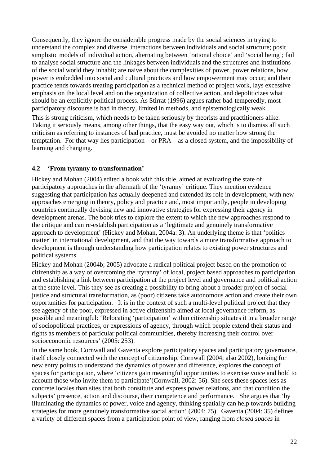Consequently, they ignore the considerable progress made by the social sciences in trying to understand the complex and diverse interactions between individuals and social structure; posit simplistic models of individual action, alternating between 'rational choice' and 'social being'; fail to analyse social structure and the linkages between individuals and the structures and institutions of the social world they inhabit; are naive about the complexities of power, power relations, how power is embedded into social and cultural practices and how empowerment may occur; and their practice tends towards treating participation as a technical method of project work, lays excessive emphasis on the local level and on the organization of collective action, and depoliticizes what should be an explicitly political process. As Stirrat (1996) argues rather bad-temperedly, most participatory discourse is bad in theory, limited in methods, and epistemologically weak.

This is strong criticism, which needs to be taken seriously by theorists and practitioners alike. Taking it seriously means, among other things, that the easy way out, which is to dismiss all such criticism as referring to instances of bad practice, must be avoided no matter how strong the temptation. For that way lies participation – or PRA – as a closed system, and the impossibility of learning and changing.

## **4.2 'From tyranny to transformation'**

Hickey and Mohan (2004) edited a book with this title, aimed at evaluating the state of participatory approaches in the aftermath of the 'tyranny' critique. They mention evidence suggesting that participation has actually deepened and extended its role in development, with new approaches emerging in theory, policy and practice and, most importantly, people in developing countries continually devising new and innovative strategies for expressing their agency in development arenas. The book tries to explore the extent to which the new approaches respond to the critique and can re-establish participation as a 'legitimate and genuinely transformative approach to development' (Hickey and Mohan, 2004a: 3). An underlying theme is that 'politics matter' in international development, and that the way towards a more transformative approach to development is through understanding how participation relates to existing power structures and political systems.

Hickey and Mohan (2004b; 2005) advocate a radical political project based on the promotion of citizenship as a way of overcoming the 'tyranny' of local, project based approaches to participation and establishing a link between participation at the project level and governance and political action at the state level. This they see as creating a possibility to bring about a broader project of social justice and structural transformation, as (poor) citizens take autonomous action and create their own opportunities for participation. It is in the context of such a multi-level political project that they see agency of the poor, expressed in active citizenship aimed at local governance reform, as possible and meaningful: 'Relocating 'participation' within citizenship situates it in a broader range of sociopolitical practices, or expressions of agency, through which people extend their status and rights as members of particular political communities, thereby increasing their control over socioeconomic resources' (2005: 253).

In the same book, Cornwall and Gaventa explore participatory spaces and participatory governance, itself closely connected with the concept of citizenship. Cornwall (2004; also 2002), looking for new entry points to understand the dynamics of power and difference, explores the concept of spaces for participation, where 'citizens gain meaningful opportunities to exercise voice and hold to account those who invite them to participate'(Cornwall, 2002: 56). She sees these spaces less as concrete locales than sites that both constitute and express power relations, and that condition the subjects' presence, action and discourse, their competence and performance. She argues that 'by illuminating the dynamics of power, voice and agency, thinking spatially can help towards building strategies for more genuinely transformative social action' (2004: 75). Gaventa (2004: 35) defines a variety of different spaces from a participation point of view, ranging from *closed spaces* in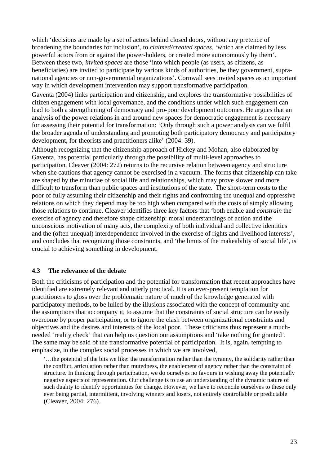which 'decisions are made by a set of actors behind closed doors, without any pretence of broadening the boundaries for inclusion', to *claimed/created spaces*, 'which are claimed by less powerful actors from or against the power-holders, or created more autonomously by them'. Between these two, *invited spaces* are those 'into which people (as users, as citizens, as beneficiaries) are invited to participate by various kinds of authorities, be they government, supranational agencies or non-governmental organizations'. Cornwall sees invited spaces as an important way in which development intervention may support transformative participation.

Gaventa (2004) links participation and citizenship, and explores the transformative possibilities of citizen engagement with local governance, and the conditions under which such engagement can lead to both a strengthening of democracy and pro-poor development outcomes. He argues that an analysis of the power relations in and around new spaces for democratic engagement is necessary for assessing their potential for transformation: 'Only through such a power analysis can we fulfil the broader agenda of understanding and promoting both participatory democracy and participatory development, for theorists and practitioners alike' (2004: 39).

Although recognizing that the citizenship approach of Hickey and Mohan, also elaborated by Gaventa, has potential particularly through the possibility of multi-level approaches to participation, Cleaver (2004: 272) returns to the recursive relation between agency and structure when she cautions that agency cannot be exercised in a vacuum. The forms that citizenship can take are shaped by the minutiae of social life and relationships, which may prove slower and more difficult to transform than public spaces and institutions of the state. The short-term costs to the poor of fully assuming their citizenship and their rights and confronting the unequal and oppressive relations on which they depend may be too high when compared with the costs of simply allowing those relations to continue. Cleaver identifies three key factors that 'both enable and *constrain* the exercise of agency and therefore shape citizenship: moral understandings of action and the unconscious motivation of many acts, the complexity of both individual and collective identities and the (often unequal) interdependence involved in the exercise of rights and livelihood interests', and concludes that recognizing those constraints, and 'the limits of the makeability of social life', is crucial to achieving something in development.

## **4.3 The relevance of the debate**

Both the criticisms of participation and the potential for transformation that recent approaches have identified are extremely relevant and utterly practical. It is an ever-present temptation for practitioners to gloss over the problematic nature of much of the knowledge generated with participatory methods, to be lulled by the illusions associated with the concept of community and the assumptions that accompany it, to assume that the constraints of social structure can be easily overcome by proper participation, or to ignore the clash between organizational constraints and objectives and the desires and interests of the local poor. These criticisms thus represent a muchneeded 'reality check' that can help us question our assumptions and 'take nothing for granted'. The same may be said of the transformative potential of participation. It is, again, tempting to emphasize, in the complex social processes in which we are involved,

'…the potential of the bits we like: the transformation rather than the tyranny, the solidarity rather than the conflict, articulation rather than mutedness, the enablement of agency rather than the constraint of structure. In thinking through participation, we do ourselves no favours in wishing away the potentially negative aspects of representation. Our challenge is to use an understanding of the dynamic nature of such duality to identify opportunities for change. However, we have to reconcile ourselves to these only ever being partial, intermittent, involving winners and losers, not entirely controllable or predictable (Cleaver, 2004: 276).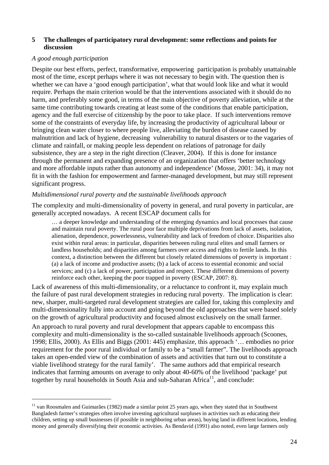## **5 The challenges of participatory rural development: some reflections and points for discussion**

## *A good enough participation*

 $\overline{a}$ 

Despite our best efforts, perfect, transformative, empowering participation is probably unattainable most of the time, except perhaps where it was not necessary to begin with. The question then is whether we can have a 'good enough participation', what that would look like and what it would require. Perhaps the main criterion would be that the interventions associated with it should do no harm, and preferably some good, in terms of the main objective of poverty alleviation, while at the same time contributing towards creating at least some of the conditions that enable participation, agency and the full exercise of citizenship by the poor to take place. If such interventions remove some of the constraints of everyday life, by increasing the productivity of agricultural labour or bringing clean water closer to where people live, alleviating the burden of disease caused by malnutrition and lack of hygiene, decreasing vulnerability to natural disasters or to the vagaries of climate and rainfall, or making people less dependent on relations of patronage for daily subsistence, they are a step in the right direction (Cleaver, 2004). If this is done for instance through the permanent and expanding presence of an organization that offers 'better technology and more affordable inputs rather than autonomy and independence' (Mosse, 2001: 34), it may not fit in with the fashion for empowerment and farmer-managed development, but may still represent significant progress.

## *Multidimensional rural poverty and the sustainable livelihoods approach*

The complexity and multi-dimensionality of poverty in general, and rural poverty in particular, are generally accepted nowadays. A recent ESCAP document calls for

… a deeper knowledge and understanding of the emerging dynamics and local processes that cause and maintain rural poverty. The rural poor face multiple deprivations from lack of assets, isolation, alienation, dependence, powerlessness, vulnerability and lack of freedom of choice. Disparities also exist within rural areas: in particular, disparities between ruling rural elites and small farmers or landless households; and disparities among farmers over access and rights to fertile lands. In this context, a distinction between the different but closely related dimensions of poverty is important : (a) a lack of income and productive assets; (b) a lack of access to essential economic and social services; and (c) a lack of power, participation and respect. These different dimensions of poverty reinforce each other, keeping the poor trapped in poverty (ESCAP, 2007: 8).

Lack of awareness of this multi-dimensionality, or a reluctance to confront it, may explain much the failure of past rural development strategies in reducing rural poverty. The implication is clear: new, sharper, multi-targeted rural development strategies are called for, taking this complexity and multi-dimensionality fully into account and going beyond the old approaches that were based solely on the growth of agricultural productivity and focused almost exclusively on the small farmer.

An approach to rural poverty and rural development that appears capable to encompass this complexity and multi-dimensionality is the so-called sustainable livelihoods approach (Scoones, 1998; Ellis, 2000). As Ellis and Biggs (2001: 445) emphasize, this approach '… embodies no prior requirement for the poor rural individual or family to be a "small farmer". The livelihoods approach takes an open-ended view of the combination of assets and activities that turn out to constitute a viable livelihood strategy for the rural family'. The same authors add that empirical research indicates that farming amounts on average to only about 40-60% of the livelihood 'package' put together by rural households in South Asia and sub-Saharan Africa<sup>11</sup>, and conclude:

 $11$  van Roosmalen and Guimarães (1982) made a similar point 25 years ago, when they stated that in Southwest Bangladesh farmer's strategies often involve investing agricultural surpluses in activities such as educating their children, setting up small businesses (if possible in neighboring urban areas), buying land in different locations, lending money and generally diversifying their economic activities. As Bendavid (1991) also noted, even large farmers only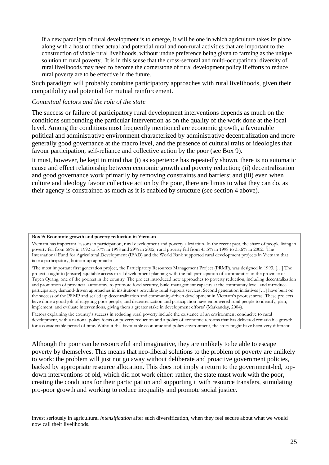If a new paradigm of rural development is to emerge, it will be one in which agriculture takes its place along with a host of other actual and potential rural and non-rural activities that are important to the construction of viable rural livelihoods, without undue preference being given to farming as the unique solution to rural poverty. It is in this sense that the cross-sectoral and multi-occupational diversity of rural livelihoods may need to become the cornerstone of rural development policy if efforts to reduce rural poverty are to be effective in the future.

Such paradigm will probably combine participatory approaches with rural livelihoods, given their compatibility and potential for mutual reinforcement.

### *Contextual factors and the role of the state*

The success or failure of participatory rural development interventions depends as much on the conditions surrounding the particular intervention as on the quality of the work done at the local level. Among the conditions most frequently mentioned are economic growth, a favourable political and administrative environment characterized by administrative decentralization and more generally good governance at the macro level, and the presence of cultural traits or ideologies that favour participation, self-reliance and collective action by the poor (see Box 9).

It must, however, be kept in mind that (i) as experience has repeatedly shown, there is no automatic cause and effect relationship between economic growth and poverty reduction; (ii) decentralization and good governance work primarily by removing constraints and barriers; and (iii) even when culture and ideology favour collective action by the poor, there are limits to what they can do, as their agency is constrained as much as it is enabled by structure (see section 4 above).

#### **Box 9: Economic growth and poverty reduction in Vietnam**

1

Vietnam has important lessons in participation, rural development and poverty alleviation. In the recent past, the share of people living in poverty fell from 58% in 1992 to 37% in 1998 and 29% in 2002; rural poverty fell from 45.5% in 1998 to 35.6% in 2002. The International Fund for Agricultural Development (IFAD) and the World Bank supported rural development projects in Vietnam that take a participatory, bottom-up approach:

'The most important first generation project, the Participatory Resources Management Project (PRMP), was designed in 1993. […] The project sought to [ensure] equitable access to all development planning with the full participation of communities in the province of Tuyen Quang, one of the poorest in the country. The project introduced new approaches to poverty reduction, including decentralization and promotion of provincial autonomy, to promote food security, build management capacity at the community level, and introduce participatory, demand-driven approaches in institutions providing rural support services. Second generation initiatives […] have built on the success of the PRMP and scaled up decentralization and community-driven development in Vietnam's poorest areas. These projects have done a good job of targeting poor people, and decentralization and participation have empowered rural people to identify, plan, implement, and evaluate interventions, giving them a greater stake in development efforts' (Markanday, 2004).

Factors explaining the country's success in reducing rural poverty include the existence of an environment conducive to rural development, with a national policy focus on poverty reduction and a policy of economic reforms that has delivered remarkable growth for a considerable period of time. Without this favourable economic and policy environment, the story might have been very different.

Although the poor can be resourceful and imaginative, they are unlikely to be able to escape poverty by themselves. This means that neo-liberal solutions to the problem of poverty are unlikely to work: the problem will just not go away without deliberate and proactive government policies, backed by appropriate resource allocation. This does not imply a return to the government-led, topdown interventions of old, which did not work either: rather, the state must work with the poor, creating the conditions for their participation and supporting it with resource transfers, stimulating pro-poor growth and working to reduce inequality and promote social justice.

invest seriously in agricultural *intensification* after such diversification, when they feel secure about what we would now call their livelihoods.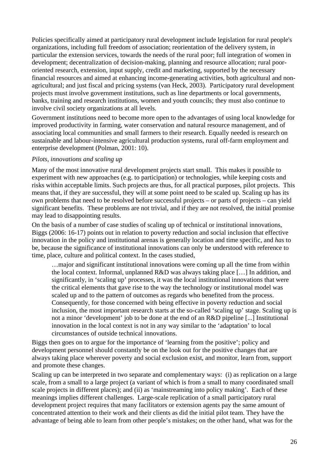Policies specifically aimed at participatory rural development include legislation for rural people's organizations, including full freedom of association; reorientation of the delivery system, in particular the extension services, towards the needs of the rural poor; full integration of women in development; decentralization of decision-making, planning and resource allocation; rural poororiented research, extension, input supply, credit and marketing, supported by the necessary financial resources and aimed at enhancing income-generating activities, both agricultural and nonagricultural; and just fiscal and pricing systems (van Heck, 2003). Participatory rural development projects must involve government institutions, such as line departments or local governments, banks, training and research institutions, women and youth councils; they must also continue to involve civil society organizations at all levels.

Government institutions need to become more open to the advantages of using local knowledge for improved productivity in farming, water conservation and natural resource management, and of associating local communities and small farmers to their research. Equally needed is research on sustainable and labour-intensive agricultural production systems, rural off-farm employment and enterprise development (Polman, 2001: 10).

## *Pilots, innovations and scaling up*

Many of the most innovative rural development projects start small. This makes it possible to experiment with new approaches (e.g. to participation) or technologies, while keeping costs and risks within acceptable limits. Such projects are thus, for all practical purposes, pilot projects. This means that, if they are successful, they will at some point need to be scaled up. Scaling up has its own problems that need to be resolved before successful projects – or parts of projects – can yield significant benefits. These problems are not trivial, and if they are not resolved, the initial promise may lead to disappointing results.

On the basis of a number of case studies of scaling up of technical or institutional innovations, Biggs (2006: 16-17) points out in relation to poverty reduction and social inclusion that effective innovation in the policy and institutional arenas is generally location and time specific, and *has* to be, because the significance of institutional innovations can only be understood with reference to time, place, culture and political context. In the cases studied,

…major and significant institutional innovations were coming up all the time from within the local context. Informal, unplanned R&D was always taking place […] In addition, and significantly, in 'scaling up' processes, it was the local institutional innovations that were the critical elements that gave rise to the way the technology or institutional model was scaled up and to the pattern of outcomes as regards who benefited from the process. Consequently, for those concerned with being effective in poverty reduction and social inclusion, the most important research starts at the so-called 'scaling up' stage. Scaling up is not a minor 'development' job to be done at the end of an R&D pipeline [...] Institutional innovation in the local context is not in any way similar to the 'adaptation' to local circumstances of outside technical innovations.

Biggs then goes on to argue for the importance of 'learning from the positive'; policy and development personnel should constantly be on the look out for the positive changes that are always taking place wherever poverty and social exclusion exist, and monitor, learn from, support and promote these changes.

Scaling up can be interpreted in two separate and complementary ways: (i) as replication on a large scale, from a small to a large project (a variant of which is from a small to many coordinated small scale projects in different places); and (ii) as 'mainstreaming into policy making'. Each of these meanings implies different challenges. Large-scale replication of a small participatory rural development project requires that many facilitators or extension agents pay the same amount of concentrated attention to their work and their clients as did the initial pilot team. They have the advantage of being able to learn from other people's mistakes; on the other hand, what was for the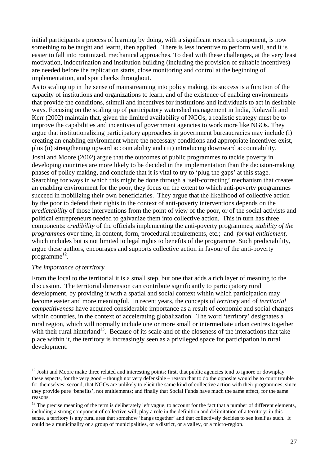initial participants a process of learning by doing, with a significant research component, is now something to be taught and learnt, then applied. There is less incentive to perform well, and it is easier to fall into routinized, mechanical approaches. To deal with these challenges, at the very least motivation, indoctrination and institution building (including the provision of suitable incentives) are needed before the replication starts, close monitoring and control at the beginning of implementation, and spot checks throughout.

As to scaling up in the sense of mainstreaming into policy making, its success is a function of the capacity of institutions and organizations to learn, and of the existence of enabling environments that provide the conditions, stimuli and incentives for institutions and individuals to act in desirable ways. Focusing on the scaling up of participatory watershed management in India, Kolavalli and Kerr (2002) maintain that, given the limited availability of NGOs, a realistic strategy must be to improve the capabilities and incentives of government agencies to work more like NGOs. They argue that institutionalizing participatory approaches in government bureaucracies may include (i) creating an enabling environment where the necessary conditions and appropriate incentives exist, plus (ii) strengthening upward accountability and (iii) introducing downward accountability. Joshi and Moore (2002) argue that the outcomes of public programmes to tackle poverty in developing countries are more likely to be decided in the implementation than the decision-making phases of policy making, and conclude that it is vital to try to 'plug the gaps' at this stage. Searching for ways in which this might be done through a 'self-correcting' mechanism that creates an enabling environment for the poor, they focus on the extent to which anti-poverty programmes succeed in mobilizing their own beneficiaries. They argue that the likelihood of collective action by the poor to defend their rights in the context of anti-poverty interventions depends on the *predictability* of those interventions from the point of view of the poor, or of the social activists and political entrepreneurs needed to galvanize them into collective action. This in turn has three components: *credibility* of the officials implementing the anti-poverty programmes; *stability of the programmes* over time, in content, form, procedural requirements, etc.; and *formal entitlement,*  which includes but is not limited to legal rights to benefits of the programme. Such predictability, argue these authors, encourages and supports collective action in favour of the anti-poverty programme 12.

## *The importance of territory*

 $\overline{a}$ 

From the local to the territorial it is a small step, but one that adds a rich layer of meaning to the discussion. The territorial dimension can contribute significantly to participatory rural development, by providing it with a spatial and social context within which participation may become easier and more meaningful. In recent years, the concepts of *territory* and of *territorial competitiveness* have acquired considerable importance as a result of economic and social changes within countries, in the context of accelerating globalization. The word 'territory' designates a rural region, which will normally include one or more small or intermediate urban centres together with their rural hinterland<sup>13</sup>. Because of its scale and of the closeness of the interactions that take place within it, the territory is increasingly seen as a privileged space for participation in rural development.

 $12$  Joshi and Moore make three related and interesting points: first, that public agencies tend to ignore or downplay these aspects, for the very good – though not very defensible – reason that to do the opposite would be to court trouble for themselves; second, that NGOs are unlikely to elicit the same kind of collective action with their programmes, since they provide pure 'benefits', not entitlements; and finally that Social Funds have much the same effect, for the same reasons.

 $13$  The precise meaning of the term is deliberately left vague, to account for the fact that a number of different elements, including a strong component of collective will, play a role in the definition and delimitation of a territory: in this sense, a territory is any rural area that somehow 'hangs together' and that collectively decides to see itself as such. It could be a municipality or a group of municipalities, or a district, or a valley, or a micro-region.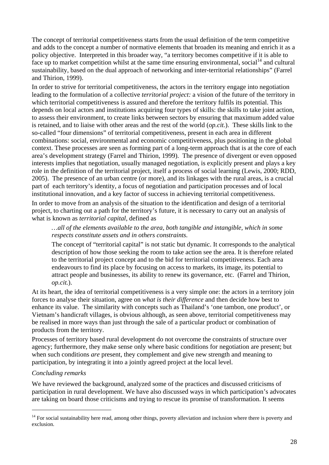The concept of territorial competitiveness starts from the usual definition of the term competitive and adds to the concept a number of normative elements that broaden its meaning and enrich it as a policy objective. Interpreted in this broader way, "a territory becomes competitive if it is able to face up to market competition whilst at the same time ensuring environmental, social<sup>14</sup> and cultural sustainability, based on the dual approach of networking and inter-territorial relationships" (Farrel and Thirion, 1999).

In order to strive for territorial competitiveness, the actors in the territory engage into negotiation leading to the formulation of a collective *territorial project:* a vision of the future of the territory in which territorial competitiveness is assured and therefore the territory fulfils its potential. This depends on local actors and institutions acquiring four types of skills: the skills to take joint action, to assess their environment, to create links between sectors by ensuring that maximum added value is retained, and to liaise with other areas and the rest of the world (*op.cit.*). These skills link to the so-called "four dimensions" of territorial competitiveness, present in each area in different combinations: social, environmental and economic competitiveness, plus positioning in the global context. These processes are seen as forming part of a long-term approach that is at the core of each area's development strategy (Farrel and Thirion, 1999). The presence of divergent or even opposed interests implies that negotiation, usually managed negotiation, is explicitly present and plays a key role in the definition of the territorial project, itself a process of social learning (Lewis, 2000; RDD, 2005). The presence of an urban centre (or more), and its linkages with the rural areas, is a crucial part of each territory's identity, a focus of negotiation and participation processes and of local institutional innovation, and a key factor of success in achieving territorial competitiveness.

In order to move from an analysis of the situation to the identification and design of a territorial project, to charting out a path for the territory's future, it is necessary to carry out an analysis of what is known as *territorial capital,* defined as

## *…all of the elements available to the area, both tangible and intangible, which in some respects constitute assets and in others constraints.*

The concept of "territorial capital" is not static but dynamic. It corresponds to the analytical description of how those seeking the room to take action see the area. It is therefore related to the territorial project concept and to the bid for territorial competitiveness. Each area endeavours to find its place by focusing on access to markets, its image, its potential to attract people and businesses, its ability to renew its governance, etc. (Farrel and Thirion, *op.cit.*).

At its heart, the idea of territorial competitiveness is a very simple one: the actors in a territory join forces to analyse their situation, agree on *what is their difference* and then decide how best to enhance its value. The similarity with concepts such as Thailand's 'one tambon, one product', or Vietnam's handicraft villages, is obvious although, as seen above, territorial competitiveness may be realised in more ways than just through the sale of a particular product or combination of products from the territory.

Processes of territory based rural development do not overcome the constraints of structure over agency; furthermore, they make sense only where basic conditions for negotiation are present; but when such conditions *are* present, they complement and give new strength and meaning to participation, by integrating it into a jointly agreed project at the local level.

## *Concluding remarks*

 $\overline{a}$ 

We have reviewed the background, analyzed some of the practices and discussed criticisms of participation in rural development. We have also discussed ways in which participation's advocates are taking on board those criticisms and trying to rescue its promise of transformation. It seems

<sup>&</sup>lt;sup>14</sup> For social sustainability here read, among other things, poverty alleviation and inclusion where there is poverty and exclusion.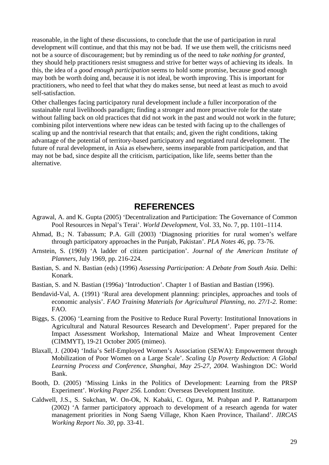reasonable, in the light of these discussions, to conclude that the use of participation in rural development will continue, and that this may not be bad. If we use them well, the criticisms need not be a source of discouragement; but by reminding us of the need to *take nothing for granted,* they should help practitioners resist smugness and strive for better ways of achieving its ideals. In this, the idea of a *good enough participation* seems to hold some promise, because good enough may both be worth doing and, because it is not ideal, be worth improving. This is important for practitioners, who need to feel that what they do makes sense, but need at least as much to avoid self-satisfaction.

Other challenges facing participatory rural development include a fuller incorporation of the sustainable rural livelihoods paradigm; finding a stronger and more proactive role for the state without falling back on old practices that did not work in the past and would not work in the future; combining pilot interventions where new ideas can be tested with facing up to the challenges of scaling up and the nontrivial research that that entails; and, given the right conditions, taking advantage of the potential of territory-based participatory and negotiated rural development. The future of rural development, in Asia as elsewhere, seems inseparable from participation, and that may not be bad, since despite all the criticism, participation, like life, seems better than the alternative.

## **REFERENCES**

- Agrawal, A. and K. Gupta (2005) 'Decentralization and Participation: The Governance of Common Pool Resources in Nepal's Terai'. *World Development,* Vol. 33, No. 7, pp. 1101–1114.
- Ahmad, B.; N. Tabassum; P.A. Gill (2003) 'Diagnosing priorities for rural women's welfare through participatory approaches in the Punjab, Pakistan'. *PLA Notes 46*, pp. 73-76.
- Arnstein, S. (1969) 'A ladder of citizen participation'. *Journal of the American Institute of Planners*, July 1969, pp. 216-224.
- Bastian, S. and N. Bastian (eds) (1996) *Assessing Participation: A Debate from South Asia.* Delhi: Konark.
- Bastian, S. and N. Bastian (1996a) 'Introduction'. Chapter 1 of Bastian and Bastian (1996).
- Bendavid-Val, A. (1991) 'Rural area development plannning: principles, approaches and tools of economic analysis'. *FAO Training Materials for Agricultural Planning, no. 27/1-2.* Rome: FAO.
- Biggs, S. (2006) 'Learning from the Positive to Reduce Rural Poverty: Institutional Innovations in Agricultural and Natural Resources Research and Development'. Paper prepared for the Impact Assessment Workshop, International Maize and Wheat Improvement Center (CIMMYT), 19-21 October 2005 (mimeo).
- Blaxall, J. (2004) 'India's Self-Employed Women's Association (SEWA): Empowerment through Mobilization of Poor Women on a Large Scale'. *Scaling Up Poverty Reduction: A Global Learning Process and Conference, Shanghai, May 25-27, 2004.* Washington DC: World Bank.
- Booth, D. (2005) 'Missing Links in the Politics of Development: Learning from the PRSP Experiment'. *Working Paper 256.* London: Overseas Development Institute.
- Caldwell, J.S., S. Sukchan, W. On-Ok, N. Kabaki, C. Ogura, M. Prabpan and P. Rattanarpom (2002) 'A farmer participatory approach to development of a research agenda for water management priorities in Nong Saeng Village, Khon Kaen Province, Thailand'. *JIRCAS Working Report No. 30*, pp. 33-41.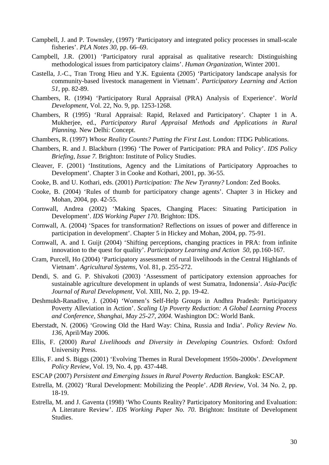- Campbell, J. and P. Townsley, (1997) 'Participatory and integrated policy processes in small-scale fisheries'. *PLA Notes 30*, pp. 66–69.
- Campbell, J.R. (2001) 'Participatory rural appraisal as qualitative research: Distinguishing methodological issues from participatory claims'. *Human Organization,* Winter 2001.
- Castella, J.-C., Tran Trong Hieu and Y.K. Eguienta (2005) 'Participatory landscape analysis for community-based livestock management in Vietnam'. *Participatory Learning and Action 51*, pp. 82-89.
- Chambers, R. (1994) 'Participatory Rural Appraisal (PRA) Analysis of Experience'. *World Development,* Vol. 22, No. 9, pp. 1253-1268.
- Chambers, R (1995) 'Rural Appraisal: Rapid, Relaxed and Participatory'. Chapter 1 in A. Mukherjee, ed., *Participatory Rural Appraisal Methods and Applications in Rural Planning.* New Delhi: Concept.
- Chambers, R. (1997) *Whose Reality Counts? Putting the First Last.* London: ITDG Publications.
- Chambers, R. and J. Blackburn (1996) 'The Power of Participation: PRA and Policy'. *IDS Policy Briefing, Issue 7.* Brighton: Institute of Policy Studies.
- Cleaver, F. (2001) 'Institutions, Agency and the Limitations of Participatory Approaches to Development'. Chapter 3 in Cooke and Kothari, 2001, pp. 36-55.
- Cooke, B. and U. Kothari, eds. (2001) *Participation: The New Tyranny?* London: Zed Books.
- Cooke, B. (2004) 'Rules of thumb for participatory change agents'. Chapter 3 in Hickey and Mohan, 2004, pp. 42-55.
- Cornwall, Andrea (2002) 'Making Spaces, Changing Places: Situating Participation in Development'. *IDS Working Paper 170*. Brighton: IDS.
- Cornwall, A. (2004) 'Spaces for transformation? Reflections on issues of power and difference in participation in development'. Chapter 5 in Hickey and Mohan, 2004, pp. 75-91.
- Cornwall, A. and I. Guijt (2004) 'Shifting perceptions, changing practices in PRA: from infinite innovation to the quest for quality'. *Participatory Learning and Action 50*, pp.160-167.
- Cram, Purcell, Ho (2004) 'Participatory assessment of rural livelihoods in the Central Highlands of Vietnam'. *Agricultural Systems,* Vol. 81, p. 255-272.
- Dendi, S. and G. P. Shivakoti (2003) 'Assessment of participatory extension approaches for sustainable agriculture development in uplands of west Sumatra, Indonensia'. *Asia-Pacific Journal of Rural Development*, Vol. XIII, No. 2, pp. 19-42.
- Deshmukh-Ranadive, J. (2004) 'Women's Self-Help Groups in Andhra Pradesh: Participatory Poverty Alleviation in Action'. *Scaling Up Poverty Reduction: A Global Learning Process and Conference, Shanghai, May 25-27, 2004.* Washington DC: World Bank.
- Eberstadt, N. (2006) 'Growing Old the Hard Way: China, Russia and India'. *Policy Review No. 136,* April/May 2006.
- Ellis, F. (2000) *Rural Livelihoods and Diversity in Developing Countries.* Oxford: Oxford University Press.
- Ellis, F. and S. Biggs (2001) 'Evolving Themes in Rural Development 1950s-2000s'. *Development Policy Review,* Vol. 19, No. 4, pp. 437-448.
- ESCAP (2007) *Persistent and Emerging Issues in Rural Poverty Reduction.* Bangkok: ESCAP.
- Estrella, M. (2002) 'Rural Development: Mobilizing the People'. *ADB Review,* Vol. 34 No. 2, pp. 18-19.
- Estrella, M. and J. Gaventa (1998) 'Who Counts Reality? Participatory Monitoring and Evaluation: A Literature Review'. *IDS Working Paper No. 70*. Brighton: Institute of Development Studies.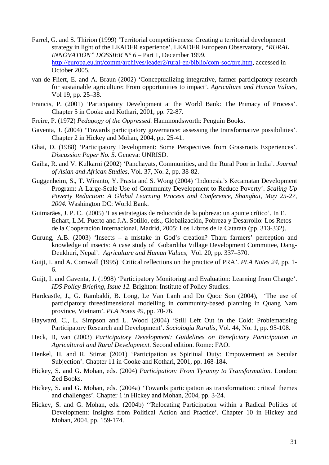- Farrel, G. and S. Thirion (1999) 'Territorial competitiveness: Creating a territorial development strategy in light of the LEADER experience'. LEADER European Observatory, *"RURAL INNOVATION" DOSSIER N° 6* – Part 1, December 1999. http://europa.eu.int/comm/archives/leader2/rural-en/biblio/com-soc/pre.htm, accessed in October 2005.
- van de Fliert, E. and A. Braun (2002) 'Conceptualizing integrative, farmer participatory research for sustainable agriculture: From opportunities to impact'. *Agriculture and Human Values,*  Vol 19, pp. 25–38.
- Francis, P. (2001) 'Participatory Development at the World Bank: The Primacy of Process'. Chapter 5 in Cooke and Kothari, 2001, pp. 72-87.
- Freire, P. (1972) *Pedagogy of the Oppressed.* Hammondsworth: Penguin Books.
- Gaventa, J. (2004) 'Towards participatory governance: assessing the transformative possibilities'. Chapter 2 in Hickey and Mohan, 2004, pp. 25-41.
- Ghai, D. (1988) 'Participatory Development: Some Perspectives from Grassroots Experiences'. *Discussion Paper No. 5.* Geneva: UNRISD.
- Gaiha, R. and V. Kulkarni (2002) 'Panchayats, Communities, and the Rural Poor in India'. *Journal of Asian and African Studies*, Vol. 37, No. 2, pp. 38-82.
- Guggenheim, S., T. Wiranto, Y. Prasta and S. Wong (2004) 'Indonesia's Kecamatan Development Program: A Large-Scale Use of Community Development to Reduce Poverty'. *Scaling Up Poverty Reduction: A Global Learning Process and Conference, Shanghai, May 25-27, 2004.* Washington DC: World Bank.
- Guimarães, J. P. C. (2005) 'Las estrategias de reducción de la pobreza: un apunte crítico'. In E. Echart, L.M. Puerto and J.A. Sotillo, eds., Globalización, Pobreza y Desarrollo: Los Retos de la Cooperación Internacional. Madrid, 2005: Los Libros de la Catarata (pp. 313-332).
- Gurung, A.B. (2003) 'Insects a mistake in God's creation? Tharu farmers' perception and knowledge of insects: A case study of Gobardiha Village Development Committee, Dang-Deukhuri, Nepal'. *Agriculture and Human Values,* Vol. 20, pp. 337–370.
- Guijt, I. and A. Cornwall (1995) 'Critical reflections on the practice of PRA'. *PLA Notes 24,* pp. 1- 6.
- Guijt, I. and Gaventa, J. (1998) 'Participatory Monitoring and Evaluation: Learning from Change'. *IDS Policy Briefing, Issue 12.* Brighton: Institute of Policy Studies.
- Hardcastle, J., G. Rambaldi, B. Long, Le Van Lanh and Do Quoc Son (2004), 'The use of participatory threedimensional modelling in community-based planning in Quang Nam province, Vietnam'. *PLA Notes 49,* pp. 70-76.
- Hayward, C., L. Simpson and L. Wood (2004) 'Still Left Out in the Cold: Problematising Participatory Research and Development'. *Sociologia Ruralis,* Vol. 44, No. 1, pp. 95-108.
- Heck, B, van (2003) *Participatory Development: Guidelines on Beneficiary Participation in Agricultural and Rural Development.* Second edition. Rome: FAO.
- Henkel, H. and R. Stirrat (2001) 'Participation as Spiritual Duty: Empowerment as Secular Subjection'. Chapter 11 in Cooke and Kothari, 2001, pp. 168-184.
- Hickey, S. and G. Mohan, eds. (2004) *Participation: From Tyranny to Transformation.* London: Zed Books.
- Hickey, S. and G. Mohan, eds. (2004a) 'Towards participation as transformation: critical themes and challenges'. Chapter 1 in Hickey and Mohan, 2004, pp. 3-24.
- Hickey, S. and G. Mohan, eds. (2004b) ''Relocating Participation within a Radical Politics of Development: Insights from Political Action and Practice'. Chapter 10 in Hickey and Mohan, 2004, pp. 159-174.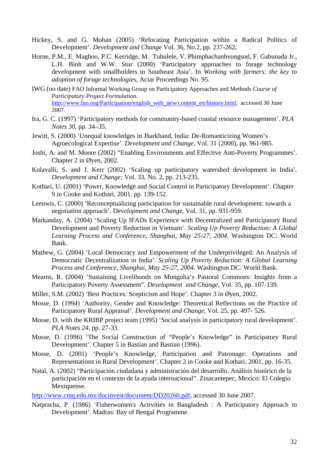- Hickey, S. and G. Mohan (2005) 'Relocating Participation within a Radical Politics of Development'. *Development and Change* Vol. 36, No.2, pp. 237-262**.**
- Horne, P.M., E. Magboo, P.C. Kerridge, M. Tuhulele, V. Phimphachanhvongsod, F. Gabunada Jr., L.H. Binh and W.W. Stur (2000) 'Participatory approaches to forage technology development with smallholders in Southeast Asia'. In *Working with farmers: the key to adoption of forage technologies*, Aciar Proceedings No. 95.
- IWG (no date) FAO Informal Working Group on Participatory Approaches and Methods *Course of Participatory Project Formulation.*  http://www.fao.org/Participation/english\_web\_new/content\_en/history.html, accessed 30 June 2007.
- Ira, G. C. (1997) 'Participatory methods for community-based coastal resource management'. *PLA Notes 30*, pp. 34–35.
- Jewitt, S. (2000) 'Unequal knowledges in Jharkhand, India: De-Romanticizing Women's Agroecological Expertise'. *Development and Change*, Vol. 31 (2000), pp. 961-985.
- Joshi, A. and M. Moore (2002) "Enabling Environments and Effective Anti-Poverty Programmes'. Chapter 2 in Øyen, 2002.
- Kolavalli, S. and J. Kerr (2002) 'Scaling up participatory watershed development in India'. *Development and Change;* Vol. 33, No. 2, pp. 213-235.
- Kothari, U. (2001) 'Power, Knowledge and Social Control in Participatory Development'. Chapter 9 in Cooke and Kothari, 2001, pp. 139-152.
- Leeuwis, C. (2000) 'Reconceptualizing participation for sustainable rural development: towards a negotiation approach'. Dev*elopment and Change*, Vol. 31, pp. 931-959.
- Markanday, A. (2004) 'Scaling Up IFADs Experience with Decentralized and Participatory Rural Development and Poverty Reduction in Vietnam'. *Scaling Up Poverty Reduction: A Global Learning Process and Conference, Shanghai, May 25-27, 2004.* Washington DC: World Bank.
- Mathew, G. (2004) 'Local Democracy and Empowerment of the Underprivileged: An Analysis of Democratic Decentralization in India'. *Scaling Up Poverty Reduction: A Global Learning Process and Conference, Shanghai, May 25-27, 2004.* Washington DC: World Bank.
- Mearns, R. (2004) 'Sustaining Livelihoods on Mongolia's Pastoral Commons: Insights from a Participatory Poverty Assessment". *Development and Change*, Vol. 35, pp. 107-139.
- Miller, S.M. (2002) 'Best Practices: Scepticism and Hope'. Chapter 3 in Øyen, 2002.
- Mosse, D. (1994) 'Authority, Gender and Knowledge: Theoretical Reflections on the Practice of Participatory Rural Appraisal'. *Development and Change*, Vol. 25, pp. 497- 526.
- Mosse, D. with the KRIBP project team (1995) 'Social analysis in participatory rural development'. *PLA Notes 24*, pp. 27-33.
- Mosse, D. (1996) 'The Social Construction of "People's Knowledge" in Participatory Rural Development'. Chapter 5 in Bastian and Bastian (1996).
- Mosse, D. (2001) 'People's Knowledge, Participation and Patronage: Operations and Representations in Rural Development'. Chapter 2 in Cooke and Kothari, 2001, pp. 16-35.
- Natal, A. (2002) "Participación ciudadana y administración del desarrollo. Análisis histórico de la participación en el contexto de la ayuda internacional". Zinacantepec, Mexico: El Colegio Mexiquense.
- http://www.cmq.edu.mx/docinvest/document/DD20260.pdf, accessed 30 June 2007.
- Natpracha, P. (1986) 'Fisherwomen's Activities in Bangladesh : A Participatory Approach to Development'. Madras: Bay of Bengal Programme.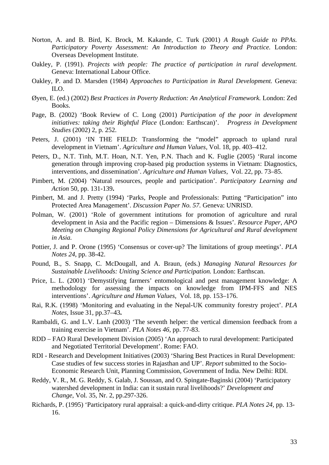- Norton, A. and B. Bird, K. Brock, M. Kakande, C. Turk (2001) *A Rough Guide to PPAs. Participatory Poverty Assessment: An Introduction to Theory and Practice.* London: Overseas Development Institute.
- Oakley, P. (1991). *Projects with people: The practice of participation in rural development.* Geneva: International Labour Office.
- Oakley, P. and D. Marsden (1984) *Approaches to Participation in Rural Development.* Geneva: ILO.
- Øyen, E. (ed.) (2002) *Best Practices in Poverty Reduction: An Analytical Framework.* London: Zed Books.
- Page, B. (2002) 'Book Review of C. Long (2001) *Participation of the poor in development initiatives: taking their Rightful Place* (London: Earthscan)'. *Progress in Development Studies* (2002) 2, p. 252.
- Peters, J. (2001) 'IN THE FIELD: Transforming the "model" approach to upland rural development in Vietnam'. *Agriculture and Human Values,* Vol. 18, pp. 403–412.
- Peters, D., N.T. Tinh, M.T. Hoan, N.T. Yen, P.N. Thach and K. Fuglie (2005) 'Rural income generation through improving crop-based pig production systems in Vietnam: Diagnostics, interventions, and dissemination'. *Agriculture and Human Values,* Vol. 22, pp. 73–85.
- Pimbert, M. (2004) 'Natural resources, people and participation'. *Participatory Learning and Action* 50, pp. 131-139**.**
- Pimbert, M. and J. Pretty (1994) 'Parks, People and Professionals: Putting "Participation" into Protected Area Management'. *Discussion Paper No. 57.* Geneva: UNRISD.
- Polman, W. (2001) 'Role of government intitutions for promotion of agriculture and rural development in Asia and the Pacific region – Dimensions & Issues'. *Resource Paper, APO Meeting on Changing Regional Policy Dimensions for Agricultural and Rural development in Asia.*
- Pottier, J. and P. Orone (1995) 'Consensus or cover-up? The limitations of group meetings'. *PLA Notes 24*, pp. 38-42.
- Pound, B., S. Snapp, C. McDougall, and A. Braun, (eds.) *Managing Natural Resources for Sustainable Livelihoods: Uniting Science and Participation.* London: Earthscan.
- Price, L. L. (2001) 'Demystifying farmers' entomological and pest management knowledge: A methodology for assessing the impacts on knowledge from IPM-FFS and NES interventions'. *Agriculture and Human Values,* Vol. 18, pp. 153–176.
- Rai, R.K. (1998) 'Monitoring and evaluating in the Nepal-UK community forestry project'. *PLA Notes*, Issue 31, pp.37–43**.**
- Rambaldi, G. and L.V. Lanh (2003) 'The seventh helper: the vertical dimension feedback from a training exercise in Vietnam'. *PLA Notes 46,* pp. 77-83.
- RDD FAO Rural Development Division (2005) 'An approach to rural development: Participated and Negotiated Territorial Development'. Rome: FAO.
- RDI Research and Development Initiatives (2003) 'Sharing Best Practices in Rural Development: Case studies of few success stories in Rajasthan and UP'. *Report* submitted to the Socio-Economic Research Unit, Planning Commission, Government of India. New Delhi: RDI.
- Reddy, V. R., M. G. Reddy, S. Galab, J. Soussan, and O. Spingate-Baginski (2004) 'Participatory watershed development in India: can it sustain rural livelihoods?' *Development and Change*, Vol. 35, Nr. 2, pp.297-326.
- Richards, P. (1995) 'Participatory rural appraisal: a quick-and-dirty critique. *PLA Notes 24,* pp. 13- 16.